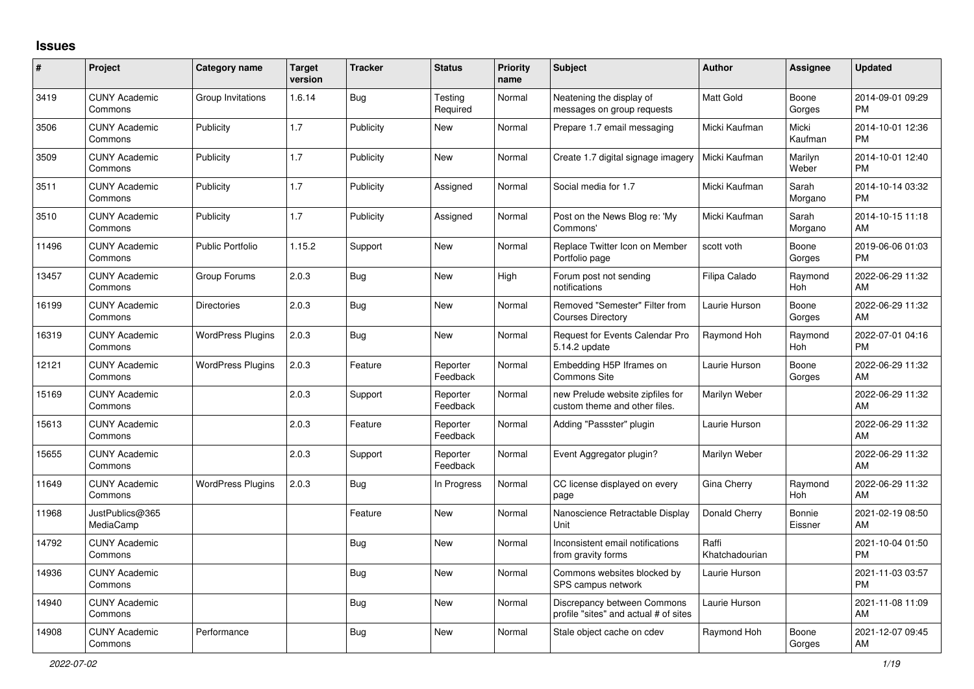## **Issues**

| #     | Project                         | <b>Category name</b>     | <b>Target</b><br>version | <b>Tracker</b> | <b>Status</b>        | <b>Priority</b><br>name | <b>Subject</b>                                                       | Author                  | Assignee              | <b>Updated</b>                |
|-------|---------------------------------|--------------------------|--------------------------|----------------|----------------------|-------------------------|----------------------------------------------------------------------|-------------------------|-----------------------|-------------------------------|
| 3419  | <b>CUNY Academic</b><br>Commons | Group Invitations        | 1.6.14                   | Bug            | Testing<br>Required  | Normal                  | Neatening the display of<br>messages on group requests               | Matt Gold               | Boone<br>Gorges       | 2014-09-01 09:29<br><b>PM</b> |
| 3506  | <b>CUNY Academic</b><br>Commons | Publicity                | 1.7                      | Publicity      | <b>New</b>           | Normal                  | Prepare 1.7 email messaging                                          | Micki Kaufman           | Micki<br>Kaufman      | 2014-10-01 12:36<br><b>PM</b> |
| 3509  | <b>CUNY Academic</b><br>Commons | Publicity                | 1.7                      | Publicity      | <b>New</b>           | Normal                  | Create 1.7 digital signage imagery                                   | Micki Kaufman           | Marilyn<br>Weber      | 2014-10-01 12:40<br><b>PM</b> |
| 3511  | <b>CUNY Academic</b><br>Commons | Publicity                | 1.7                      | Publicity      | Assigned             | Normal                  | Social media for 1.7                                                 | Micki Kaufman           | Sarah<br>Morgano      | 2014-10-14 03:32<br><b>PM</b> |
| 3510  | <b>CUNY Academic</b><br>Commons | Publicity                | 1.7                      | Publicity      | Assigned             | Normal                  | Post on the News Blog re: 'My<br>Commons'                            | Micki Kaufman           | Sarah<br>Morgano      | 2014-10-15 11:18<br><b>AM</b> |
| 11496 | <b>CUNY Academic</b><br>Commons | <b>Public Portfolio</b>  | 1.15.2                   | Support        | New                  | Normal                  | Replace Twitter Icon on Member<br>Portfolio page                     | scott voth              | Boone<br>Gorges       | 2019-06-06 01:03<br><b>PM</b> |
| 13457 | <b>CUNY Academic</b><br>Commons | Group Forums             | 2.0.3                    | <b>Bug</b>     | <b>New</b>           | High                    | Forum post not sending<br>notifications                              | Filipa Calado           | Raymond<br>Hoh        | 2022-06-29 11:32<br>AM        |
| 16199 | <b>CUNY Academic</b><br>Commons | <b>Directories</b>       | 2.0.3                    | <b>Bug</b>     | New                  | Normal                  | Removed "Semester" Filter from<br><b>Courses Directory</b>           | Laurie Hurson           | Boone<br>Gorges       | 2022-06-29 11:32<br>AM        |
| 16319 | <b>CUNY Academic</b><br>Commons | <b>WordPress Plugins</b> | 2.0.3                    | Bug            | <b>New</b>           | Normal                  | Request for Events Calendar Pro<br>5.14.2 update                     | Raymond Hoh             | Raymond<br><b>Hoh</b> | 2022-07-01 04:16<br><b>PM</b> |
| 12121 | <b>CUNY Academic</b><br>Commons | <b>WordPress Plugins</b> | 2.0.3                    | Feature        | Reporter<br>Feedback | Normal                  | Embedding H5P Iframes on<br><b>Commons Site</b>                      | Laurie Hurson           | Boone<br>Gorges       | 2022-06-29 11:32<br>AM        |
| 15169 | <b>CUNY Academic</b><br>Commons |                          | 2.0.3                    | Support        | Reporter<br>Feedback | Normal                  | new Prelude website zipfiles for<br>custom theme and other files.    | Marilyn Weber           |                       | 2022-06-29 11:32<br><b>AM</b> |
| 15613 | <b>CUNY Academic</b><br>Commons |                          | 2.0.3                    | Feature        | Reporter<br>Feedback | Normal                  | Adding "Passster" plugin                                             | Laurie Hurson           |                       | 2022-06-29 11:32<br>AM        |
| 15655 | <b>CUNY Academic</b><br>Commons |                          | 2.0.3                    | Support        | Reporter<br>Feedback | Normal                  | Event Aggregator plugin?                                             | Marilyn Weber           |                       | 2022-06-29 11:32<br>AM        |
| 11649 | <b>CUNY Academic</b><br>Commons | <b>WordPress Plugins</b> | 2.0.3                    | Bug            | In Progress          | Normal                  | CC license displayed on every<br>page                                | Gina Cherry             | Raymond<br>Hoh        | 2022-06-29 11:32<br>AM        |
| 11968 | JustPublics@365<br>MediaCamp    |                          |                          | Feature        | New                  | Normal                  | Nanoscience Retractable Display<br>Unit                              | Donald Cherry           | Bonnie<br>Eissner     | 2021-02-19 08:50<br>AM        |
| 14792 | <b>CUNY Academic</b><br>Commons |                          |                          | Bug            | <b>New</b>           | Normal                  | Inconsistent email notifications<br>from gravity forms               | Raffi<br>Khatchadourian |                       | 2021-10-04 01:50<br><b>PM</b> |
| 14936 | <b>CUNY Academic</b><br>Commons |                          |                          | <b>Bug</b>     | <b>New</b>           | Normal                  | Commons websites blocked by<br>SPS campus network                    | Laurie Hurson           |                       | 2021-11-03 03:57<br><b>PM</b> |
| 14940 | <b>CUNY Academic</b><br>Commons |                          |                          | Bug            | New                  | Normal                  | Discrepancy between Commons<br>profile "sites" and actual # of sites | Laurie Hurson           |                       | 2021-11-08 11:09<br><b>AM</b> |
| 14908 | <b>CUNY Academic</b><br>Commons | Performance              |                          | <b>Bug</b>     | <b>New</b>           | Normal                  | Stale object cache on cdev                                           | Raymond Hoh             | Boone<br>Gorges       | 2021-12-07 09:45<br>AM        |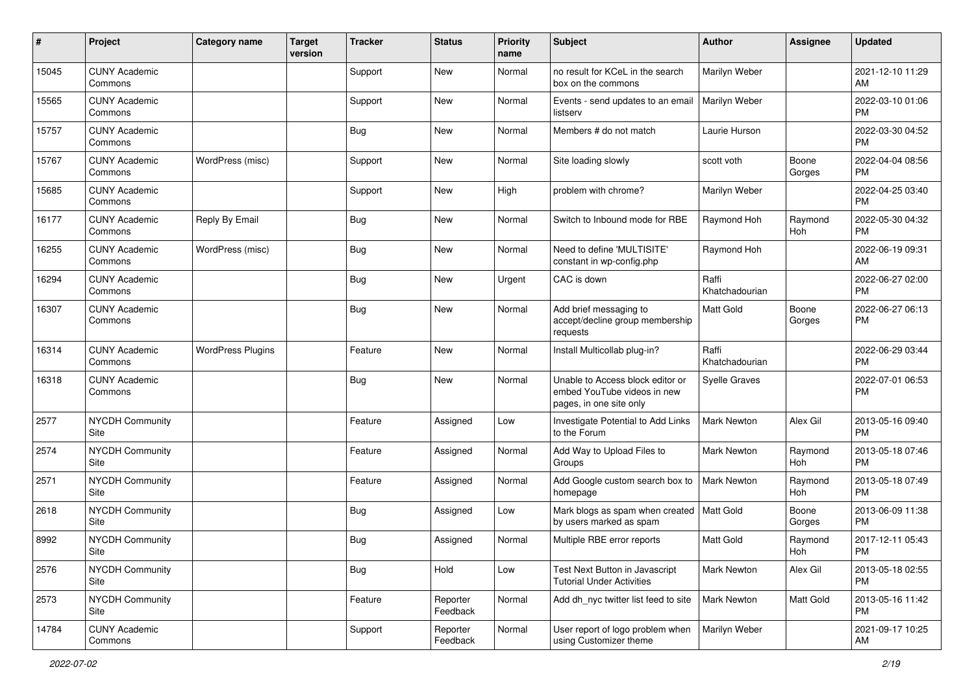| #     | Project                         | Category name            | <b>Target</b><br>version | <b>Tracker</b> | <b>Status</b>        | <b>Priority</b><br>name | <b>Subject</b>                                                                             | <b>Author</b>           | <b>Assignee</b> | <b>Updated</b>                |
|-------|---------------------------------|--------------------------|--------------------------|----------------|----------------------|-------------------------|--------------------------------------------------------------------------------------------|-------------------------|-----------------|-------------------------------|
| 15045 | <b>CUNY Academic</b><br>Commons |                          |                          | Support        | <b>New</b>           | Normal                  | no result for KCeL in the search<br>box on the commons                                     | Marilyn Weber           |                 | 2021-12-10 11:29<br>AM        |
| 15565 | <b>CUNY Academic</b><br>Commons |                          |                          | Support        | New                  | Normal                  | Events - send updates to an email<br>listserv                                              | Marilyn Weber           |                 | 2022-03-10 01:06<br><b>PM</b> |
| 15757 | <b>CUNY Academic</b><br>Commons |                          |                          | <b>Bug</b>     | New                  | Normal                  | Members # do not match                                                                     | Laurie Hurson           |                 | 2022-03-30 04:52<br><b>PM</b> |
| 15767 | <b>CUNY Academic</b><br>Commons | WordPress (misc)         |                          | Support        | <b>New</b>           | Normal                  | Site loading slowly                                                                        | scott voth              | Boone<br>Gorges | 2022-04-04 08:56<br><b>PM</b> |
| 15685 | <b>CUNY Academic</b><br>Commons |                          |                          | Support        | New                  | High                    | problem with chrome?                                                                       | Marilyn Weber           |                 | 2022-04-25 03:40<br><b>PM</b> |
| 16177 | <b>CUNY Academic</b><br>Commons | Reply By Email           |                          | Bug            | New                  | Normal                  | Switch to Inbound mode for RBE                                                             | Raymond Hoh             | Raymond<br>Hoh  | 2022-05-30 04:32<br><b>PM</b> |
| 16255 | <b>CUNY Academic</b><br>Commons | WordPress (misc)         |                          | Bug            | <b>New</b>           | Normal                  | Need to define 'MULTISITE'<br>constant in wp-config.php                                    | Raymond Hoh             |                 | 2022-06-19 09:31<br>AM        |
| 16294 | <b>CUNY Academic</b><br>Commons |                          |                          | Bug            | <b>New</b>           | Urgent                  | CAC is down                                                                                | Raffi<br>Khatchadourian |                 | 2022-06-27 02:00<br><b>PM</b> |
| 16307 | <b>CUNY Academic</b><br>Commons |                          |                          | <b>Bug</b>     | New                  | Normal                  | Add brief messaging to<br>accept/decline group membership<br>requests                      | <b>Matt Gold</b>        | Boone<br>Gorges | 2022-06-27 06:13<br><b>PM</b> |
| 16314 | <b>CUNY Academic</b><br>Commons | <b>WordPress Plugins</b> |                          | Feature        | <b>New</b>           | Normal                  | Install Multicollab plug-in?                                                               | Raffi<br>Khatchadourian |                 | 2022-06-29 03:44<br><b>PM</b> |
| 16318 | <b>CUNY Academic</b><br>Commons |                          |                          | <b>Bug</b>     | New                  | Normal                  | Unable to Access block editor or<br>embed YouTube videos in new<br>pages, in one site only | <b>Syelle Graves</b>    |                 | 2022-07-01 06:53<br><b>PM</b> |
| 2577  | <b>NYCDH Community</b><br>Site  |                          |                          | Feature        | Assigned             | Low                     | Investigate Potential to Add Links<br>to the Forum                                         | <b>Mark Newton</b>      | Alex Gil        | 2013-05-16 09:40<br><b>PM</b> |
| 2574  | <b>NYCDH Community</b><br>Site  |                          |                          | Feature        | Assigned             | Normal                  | Add Way to Upload Files to<br>Groups                                                       | Mark Newton             | Raymond<br>Hoh  | 2013-05-18 07:46<br>PM        |
| 2571  | <b>NYCDH Community</b><br>Site  |                          |                          | Feature        | Assigned             | Normal                  | Add Google custom search box to<br>homepage                                                | <b>Mark Newton</b>      | Raymond<br>Hoh  | 2013-05-18 07:49<br><b>PM</b> |
| 2618  | NYCDH Community<br>Site         |                          |                          | Bug            | Assigned             | Low                     | Mark blogs as spam when created   Matt Gold<br>by users marked as spam                     |                         | Boone<br>Gorges | 2013-06-09 11:38<br><b>PM</b> |
| 8992  | <b>NYCDH Community</b><br>Site  |                          |                          | <b>Bug</b>     | Assigned             | Normal                  | Multiple RBE error reports                                                                 | <b>Matt Gold</b>        | Raymond<br>Hoh  | 2017-12-11 05:43<br>PM        |
| 2576  | <b>NYCDH Community</b><br>Site  |                          |                          | Bug            | Hold                 | Low                     | Test Next Button in Javascript<br><b>Tutorial Under Activities</b>                         | Mark Newton             | Alex Gil        | 2013-05-18 02:55<br><b>PM</b> |
| 2573  | NYCDH Community<br>Site         |                          |                          | Feature        | Reporter<br>Feedback | Normal                  | Add dh_nyc twitter list feed to site                                                       | Mark Newton             | Matt Gold       | 2013-05-16 11:42<br><b>PM</b> |
| 14784 | <b>CUNY Academic</b><br>Commons |                          |                          | Support        | Reporter<br>Feedback | Normal                  | User report of logo problem when<br>using Customizer theme                                 | Marilyn Weber           |                 | 2021-09-17 10:25<br>AM        |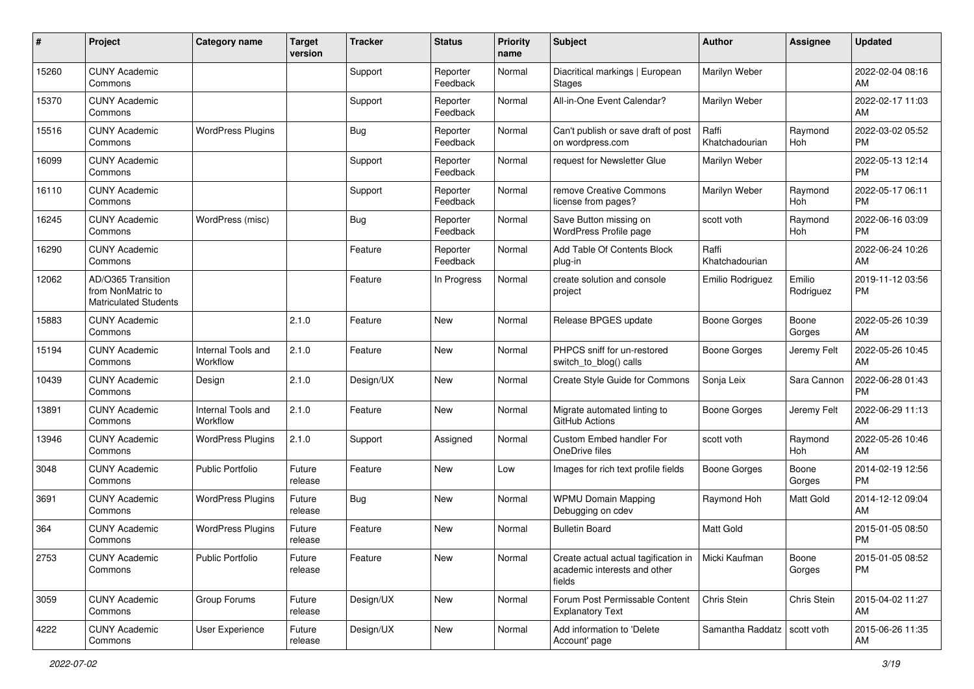| #     | Project                                                                 | <b>Category name</b>           | <b>Target</b><br>version | <b>Tracker</b> | <b>Status</b>        | Priority<br>name | <b>Subject</b>                                                                 | <b>Author</b>                 | <b>Assignee</b>     | <b>Updated</b>                |
|-------|-------------------------------------------------------------------------|--------------------------------|--------------------------|----------------|----------------------|------------------|--------------------------------------------------------------------------------|-------------------------------|---------------------|-------------------------------|
| 15260 | <b>CUNY Academic</b><br>Commons                                         |                                |                          | Support        | Reporter<br>Feedback | Normal           | Diacritical markings   European<br><b>Stages</b>                               | Marilyn Weber                 |                     | 2022-02-04 08:16<br>AM.       |
| 15370 | <b>CUNY Academic</b><br>Commons                                         |                                |                          | Support        | Reporter<br>Feedback | Normal           | All-in-One Event Calendar?                                                     | Marilyn Weber                 |                     | 2022-02-17 11:03<br>AM        |
| 15516 | <b>CUNY Academic</b><br>Commons                                         | <b>WordPress Plugins</b>       |                          | Bug            | Reporter<br>Feedback | Normal           | Can't publish or save draft of post<br>on wordpress.com                        | Raffi<br>Khatchadourian       | Raymond<br>Hoh      | 2022-03-02 05:52<br><b>PM</b> |
| 16099 | <b>CUNY Academic</b><br>Commons                                         |                                |                          | Support        | Reporter<br>Feedback | Normal           | request for Newsletter Glue                                                    | Marilyn Weber                 |                     | 2022-05-13 12:14<br><b>PM</b> |
| 16110 | <b>CUNY Academic</b><br>Commons                                         |                                |                          | Support        | Reporter<br>Feedback | Normal           | remove Creative Commons<br>license from pages?                                 | Marilyn Weber                 | Raymond<br>Hoh      | 2022-05-17 06:11<br><b>PM</b> |
| 16245 | <b>CUNY Academic</b><br>Commons                                         | WordPress (misc)               |                          | Bug            | Reporter<br>Feedback | Normal           | Save Button missing on<br>WordPress Profile page                               | scott voth                    | Raymond<br>Hoh      | 2022-06-16 03:09<br><b>PM</b> |
| 16290 | <b>CUNY Academic</b><br>Commons                                         |                                |                          | Feature        | Reporter<br>Feedback | Normal           | Add Table Of Contents Block<br>plug-in                                         | Raffi<br>Khatchadourian       |                     | 2022-06-24 10:26<br>AM        |
| 12062 | AD/O365 Transition<br>from NonMatric to<br><b>Matriculated Students</b> |                                |                          | Feature        | In Progress          | Normal           | create solution and console<br>project                                         | Emilio Rodriguez              | Emilio<br>Rodriguez | 2019-11-12 03:56<br><b>PM</b> |
| 15883 | <b>CUNY Academic</b><br>Commons                                         |                                | 2.1.0                    | Feature        | <b>New</b>           | Normal           | Release BPGES update                                                           | Boone Gorges                  | Boone<br>Gorges     | 2022-05-26 10:39<br>AM        |
| 15194 | <b>CUNY Academic</b><br>Commons                                         | Internal Tools and<br>Workflow | 2.1.0                    | Feature        | <b>New</b>           | Normal           | PHPCS sniff for un-restored<br>switch_to_blog() calls                          | Boone Gorges                  | Jeremy Felt         | 2022-05-26 10:45<br>AM        |
| 10439 | <b>CUNY Academic</b><br>Commons                                         | Design                         | 2.1.0                    | Design/UX      | New                  | Normal           | Create Style Guide for Commons                                                 | Sonja Leix                    | Sara Cannon         | 2022-06-28 01:43<br><b>PM</b> |
| 13891 | <b>CUNY Academic</b><br>Commons                                         | Internal Tools and<br>Workflow | 2.1.0                    | Feature        | <b>New</b>           | Normal           | Migrate automated linting to<br>GitHub Actions                                 | Boone Gorges                  | Jeremy Felt         | 2022-06-29 11:13<br>AM        |
| 13946 | <b>CUNY Academic</b><br>Commons                                         | <b>WordPress Plugins</b>       | 2.1.0                    | Support        | Assigned             | Normal           | Custom Embed handler For<br>OneDrive files                                     | scott voth                    | Raymond<br>Hoh      | 2022-05-26 10:46<br>AM        |
| 3048  | <b>CUNY Academic</b><br>Commons                                         | <b>Public Portfolio</b>        | Future<br>release        | Feature        | New                  | Low              | Images for rich text profile fields                                            | Boone Gorges                  | Boone<br>Gorges     | 2014-02-19 12:56<br><b>PM</b> |
| 3691  | <b>CUNY Academic</b><br>Commons                                         | <b>WordPress Plugins</b>       | Future<br>release        | Bug            | New                  | Normal           | <b>WPMU Domain Mapping</b><br>Debugging on cdev                                | Raymond Hoh                   | Matt Gold           | 2014-12-12 09:04<br><b>AM</b> |
| 364   | <b>CUNY Academic</b><br>Commons                                         | <b>WordPress Plugins</b>       | Future<br>release        | Feature        | New                  | Normal           | <b>Bulletin Board</b>                                                          | <b>Matt Gold</b>              |                     | 2015-01-05 08:50<br><b>PM</b> |
| 2753  | <b>CUNY Academic</b><br>Commons                                         | Public Portfolio               | Future<br>release        | Feature        | New                  | Normal           | Create actual actual tagification in<br>academic interests and other<br>fields | Micki Kaufman                 | Boone<br>Gorges     | 2015-01-05 08:52<br><b>PM</b> |
| 3059  | <b>CUNY Academic</b><br>Commons                                         | Group Forums                   | Future<br>release        | Design/UX      | New                  | Normal           | Forum Post Permissable Content<br><b>Explanatory Text</b>                      | Chris Stein                   | Chris Stein         | 2015-04-02 11:27<br>AM        |
| 4222  | <b>CUNY Academic</b><br>Commons                                         | User Experience                | Future<br>release        | Design/UX      | New                  | Normal           | Add information to 'Delete<br>Account' page                                    | Samantha Raddatz   scott voth |                     | 2015-06-26 11:35<br>AM        |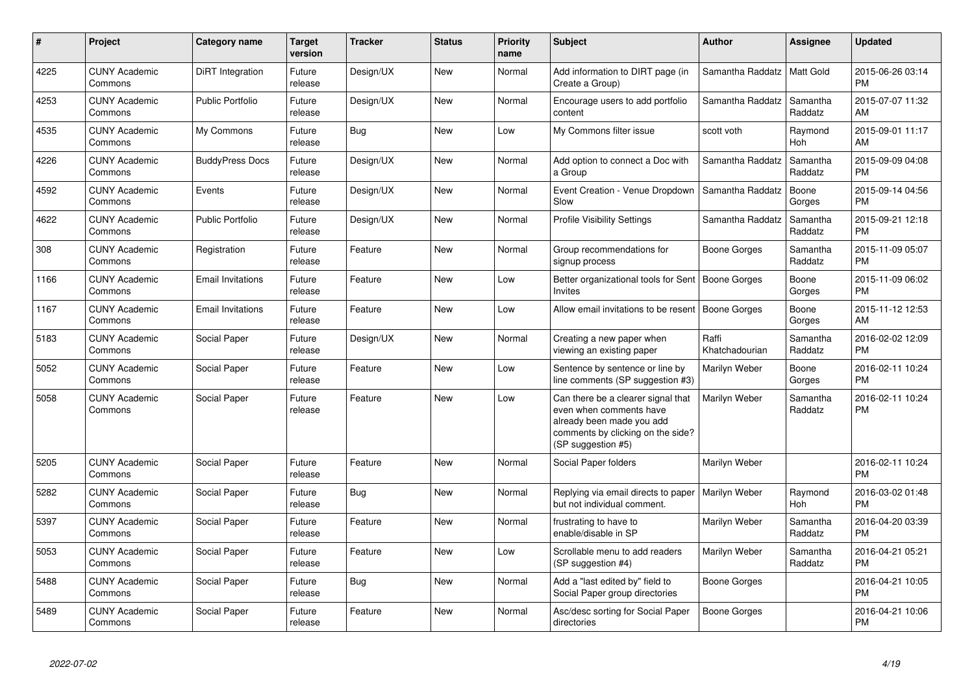| #    | Project                         | <b>Category name</b>     | Target<br>version | <b>Tracker</b> | <b>Status</b> | <b>Priority</b><br>name | <b>Subject</b>                                                                                                                                        | <b>Author</b>           | <b>Assignee</b>     | <b>Updated</b>                |
|------|---------------------------------|--------------------------|-------------------|----------------|---------------|-------------------------|-------------------------------------------------------------------------------------------------------------------------------------------------------|-------------------------|---------------------|-------------------------------|
| 4225 | <b>CUNY Academic</b><br>Commons | DiRT Integration         | Future<br>release | Design/UX      | <b>New</b>    | Normal                  | Add information to DIRT page (in<br>Create a Group)                                                                                                   | Samantha Raddatz        | Matt Gold           | 2015-06-26 03:14<br><b>PM</b> |
| 4253 | <b>CUNY Academic</b><br>Commons | <b>Public Portfolio</b>  | Future<br>release | Design/UX      | <b>New</b>    | Normal                  | Encourage users to add portfolio<br>content                                                                                                           | Samantha Raddatz        | Samantha<br>Raddatz | 2015-07-07 11:32<br>AM        |
| 4535 | <b>CUNY Academic</b><br>Commons | My Commons               | Future<br>release | Bug            | New           | Low                     | My Commons filter issue                                                                                                                               | scott voth              | Raymond<br>Hoh      | 2015-09-01 11:17<br><b>AM</b> |
| 4226 | <b>CUNY Academic</b><br>Commons | <b>BuddyPress Docs</b>   | Future<br>release | Design/UX      | New           | Normal                  | Add option to connect a Doc with<br>a Group                                                                                                           | Samantha Raddatz        | Samantha<br>Raddatz | 2015-09-09 04:08<br><b>PM</b> |
| 4592 | <b>CUNY Academic</b><br>Commons | Events                   | Future<br>release | Design/UX      | New           | Normal                  | Event Creation - Venue Dropdown<br>Slow                                                                                                               | Samantha Raddatz        | Boone<br>Gorges     | 2015-09-14 04:56<br><b>PM</b> |
| 4622 | <b>CUNY Academic</b><br>Commons | <b>Public Portfolio</b>  | Future<br>release | Design/UX      | <b>New</b>    | Normal                  | <b>Profile Visibility Settings</b>                                                                                                                    | Samantha Raddatz        | Samantha<br>Raddatz | 2015-09-21 12:18<br><b>PM</b> |
| 308  | <b>CUNY Academic</b><br>Commons | Registration             | Future<br>release | Feature        | <b>New</b>    | Normal                  | Group recommendations for<br>signup process                                                                                                           | Boone Gorges            | Samantha<br>Raddatz | 2015-11-09 05:07<br><b>PM</b> |
| 1166 | <b>CUNY Academic</b><br>Commons | <b>Email Invitations</b> | Future<br>release | Feature        | <b>New</b>    | Low                     | Better organizational tools for Sent<br>Invites                                                                                                       | Boone Gorges            | Boone<br>Gorges     | 2015-11-09 06:02<br><b>PM</b> |
| 1167 | <b>CUNY Academic</b><br>Commons | <b>Email Invitations</b> | Future<br>release | Feature        | New           | Low                     | Allow email invitations to be resent                                                                                                                  | Boone Gorges            | Boone<br>Gorges     | 2015-11-12 12:53<br>AM        |
| 5183 | <b>CUNY Academic</b><br>Commons | Social Paper             | Future<br>release | Design/UX      | New           | Normal                  | Creating a new paper when<br>viewing an existing paper                                                                                                | Raffi<br>Khatchadourian | Samantha<br>Raddatz | 2016-02-02 12:09<br><b>PM</b> |
| 5052 | <b>CUNY Academic</b><br>Commons | Social Paper             | Future<br>release | Feature        | New           | Low                     | Sentence by sentence or line by<br>line comments (SP suggestion #3)                                                                                   | Marilyn Weber           | Boone<br>Gorges     | 2016-02-11 10:24<br><b>PM</b> |
| 5058 | <b>CUNY Academic</b><br>Commons | Social Paper             | Future<br>release | Feature        | New           | Low                     | Can there be a clearer signal that<br>even when comments have<br>already been made you add<br>comments by clicking on the side?<br>(SP suggestion #5) | Marilyn Weber           | Samantha<br>Raddatz | 2016-02-11 10:24<br><b>PM</b> |
| 5205 | <b>CUNY Academic</b><br>Commons | Social Paper             | Future<br>release | Feature        | New           | Normal                  | Social Paper folders                                                                                                                                  | Marilyn Weber           |                     | 2016-02-11 10:24<br><b>PM</b> |
| 5282 | <b>CUNY Academic</b><br>Commons | Social Paper             | Future<br>release | Bug            | New           | Normal                  | Replying via email directs to paper<br>but not individual comment.                                                                                    | Marilyn Weber           | Raymond<br>Hoh      | 2016-03-02 01:48<br><b>PM</b> |
| 5397 | <b>CUNY Academic</b><br>Commons | Social Paper             | Future<br>release | Feature        | New           | Normal                  | frustrating to have to<br>enable/disable in SP                                                                                                        | Marilyn Weber           | Samantha<br>Raddatz | 2016-04-20 03:39<br><b>PM</b> |
| 5053 | <b>CUNY Academic</b><br>Commons | Social Paper             | Future<br>release | Feature        | <b>New</b>    | Low                     | Scrollable menu to add readers<br>(SP suggestion #4)                                                                                                  | Marilyn Weber           | Samantha<br>Raddatz | 2016-04-21 05:21<br><b>PM</b> |
| 5488 | <b>CUNY Academic</b><br>Commons | Social Paper             | Future<br>release | Bug            | <b>New</b>    | Normal                  | Add a "last edited by" field to<br>Social Paper group directories                                                                                     | Boone Gorges            |                     | 2016-04-21 10:05<br>PM        |
| 5489 | <b>CUNY Academic</b><br>Commons | Social Paper             | Future<br>release | Feature        | <b>New</b>    | Normal                  | Asc/desc sorting for Social Paper<br>directories                                                                                                      | Boone Gorges            |                     | 2016-04-21 10:06<br><b>PM</b> |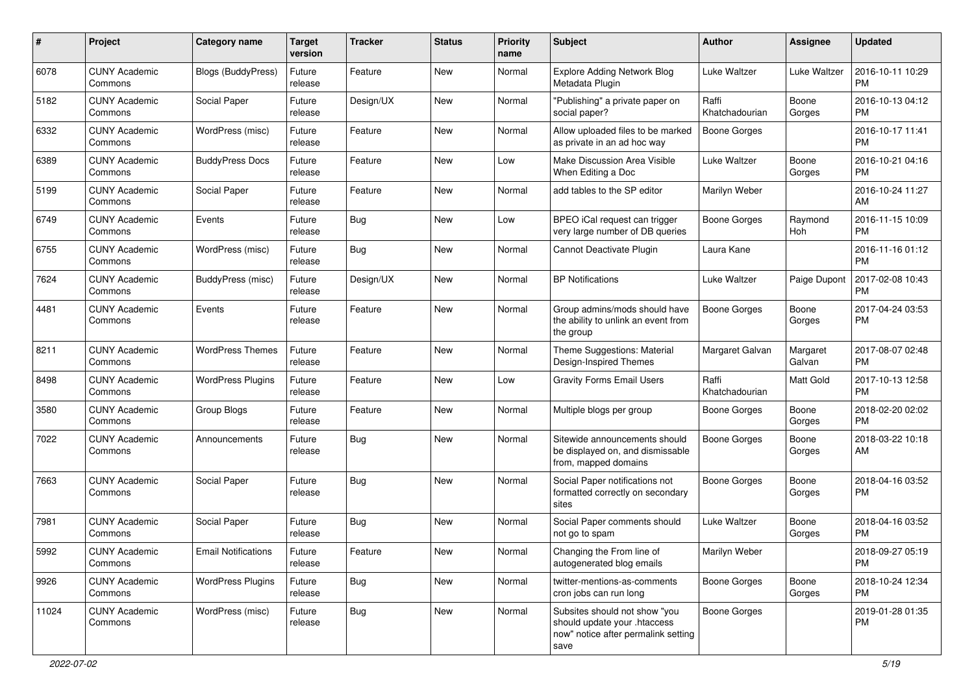| #     | Project                         | <b>Category name</b>       | <b>Target</b><br>version | <b>Tracker</b> | <b>Status</b> | <b>Priority</b><br>name | Subject                                                                                                      | <b>Author</b>           | Assignee              | <b>Updated</b>                |
|-------|---------------------------------|----------------------------|--------------------------|----------------|---------------|-------------------------|--------------------------------------------------------------------------------------------------------------|-------------------------|-----------------------|-------------------------------|
| 6078  | <b>CUNY Academic</b><br>Commons | Blogs (BuddyPress)         | Future<br>release        | Feature        | <b>New</b>    | Normal                  | <b>Explore Adding Network Blog</b><br>Metadata Plugin                                                        | Luke Waltzer            | Luke Waltzer          | 2016-10-11 10:29<br><b>PM</b> |
| 5182  | <b>CUNY Academic</b><br>Commons | Social Paper               | Future<br>release        | Design/UX      | New           | Normal                  | "Publishing" a private paper on<br>social paper?                                                             | Raffi<br>Khatchadourian | Boone<br>Gorges       | 2016-10-13 04:12<br><b>PM</b> |
| 6332  | <b>CUNY Academic</b><br>Commons | WordPress (misc)           | Future<br>release        | Feature        | <b>New</b>    | Normal                  | Allow uploaded files to be marked<br>as private in an ad hoc way                                             | Boone Gorges            |                       | 2016-10-17 11:41<br><b>PM</b> |
| 6389  | <b>CUNY Academic</b><br>Commons | <b>BuddyPress Docs</b>     | Future<br>release        | Feature        | New           | Low                     | Make Discussion Area Visible<br>When Editing a Doc                                                           | Luke Waltzer            | Boone<br>Gorges       | 2016-10-21 04:16<br>PM.       |
| 5199  | <b>CUNY Academic</b><br>Commons | Social Paper               | Future<br>release        | Feature        | New           | Normal                  | add tables to the SP editor                                                                                  | Marilyn Weber           |                       | 2016-10-24 11:27<br>AM        |
| 6749  | <b>CUNY Academic</b><br>Commons | Events                     | Future<br>release        | Bug            | New           | Low                     | BPEO iCal request can trigger<br>very large number of DB queries                                             | Boone Gorges            | Raymond<br><b>Hoh</b> | 2016-11-15 10:09<br><b>PM</b> |
| 6755  | <b>CUNY Academic</b><br>Commons | WordPress (misc)           | Future<br>release        | Bug            | New           | Normal                  | Cannot Deactivate Plugin                                                                                     | Laura Kane              |                       | 2016-11-16 01:12<br>PM.       |
| 7624  | <b>CUNY Academic</b><br>Commons | <b>BuddyPress (misc)</b>   | Future<br>release        | Design/UX      | New           | Normal                  | <b>BP</b> Notifications                                                                                      | Luke Waltzer            | Paige Dupont          | 2017-02-08 10:43<br><b>PM</b> |
| 4481  | <b>CUNY Academic</b><br>Commons | Events                     | Future<br>release        | Feature        | New           | Normal                  | Group admins/mods should have<br>the ability to unlink an event from<br>the group                            | <b>Boone Gorges</b>     | Boone<br>Gorges       | 2017-04-24 03:53<br><b>PM</b> |
| 8211  | <b>CUNY Academic</b><br>Commons | <b>WordPress Themes</b>    | Future<br>release        | Feature        | New           | Normal                  | Theme Suggestions: Material<br>Design-Inspired Themes                                                        | Margaret Galvan         | Margaret<br>Galvan    | 2017-08-07 02:48<br><b>PM</b> |
| 8498  | <b>CUNY Academic</b><br>Commons | <b>WordPress Plugins</b>   | Future<br>release        | Feature        | <b>New</b>    | Low                     | <b>Gravity Forms Email Users</b>                                                                             | Raffi<br>Khatchadourian | Matt Gold             | 2017-10-13 12:58<br><b>PM</b> |
| 3580  | <b>CUNY Academic</b><br>Commons | Group Blogs                | Future<br>release        | Feature        | <b>New</b>    | Normal                  | Multiple blogs per group                                                                                     | Boone Gorges            | Boone<br>Gorges       | 2018-02-20 02:02<br>PM.       |
| 7022  | <b>CUNY Academic</b><br>Commons | Announcements              | Future<br>release        | Bug            | New           | Normal                  | Sitewide announcements should<br>be displayed on, and dismissable<br>from, mapped domains                    | Boone Gorges            | Boone<br>Gorges       | 2018-03-22 10:18<br>AM        |
| 7663  | <b>CUNY Academic</b><br>Commons | Social Paper               | Future<br>release        | <b>Bug</b>     | <b>New</b>    | Normal                  | Social Paper notifications not<br>formatted correctly on secondary<br>sites                                  | Boone Gorges            | Boone<br>Gorges       | 2018-04-16 03:52<br><b>PM</b> |
| 7981  | <b>CUNY Academic</b><br>Commons | Social Paper               | Future<br>release        | Bug            | <b>New</b>    | Normal                  | Social Paper comments should<br>not go to spam                                                               | Luke Waltzer            | Boone<br>Gorges       | 2018-04-16 03:52<br>PM.       |
| 5992  | <b>CUNY Academic</b><br>Commons | <b>Email Notifications</b> | Future<br>release        | Feature        | New           | Normal                  | Changing the From line of<br>autogenerated blog emails                                                       | Marilyn Weber           |                       | 2018-09-27 05:19<br><b>PM</b> |
| 9926  | <b>CUNY Academic</b><br>Commons | <b>WordPress Plugins</b>   | Future<br>release        | Bug            | New           | Normal                  | twitter-mentions-as-comments<br>cron jobs can run long                                                       | Boone Gorges            | Boone<br>Gorges       | 2018-10-24 12:34<br><b>PM</b> |
| 11024 | <b>CUNY Academic</b><br>Commons | WordPress (misc)           | Future<br>release        | <b>Bug</b>     | New           | Normal                  | Subsites should not show "you<br>should update your .htaccess<br>now" notice after permalink setting<br>save | Boone Gorges            |                       | 2019-01-28 01:35<br><b>PM</b> |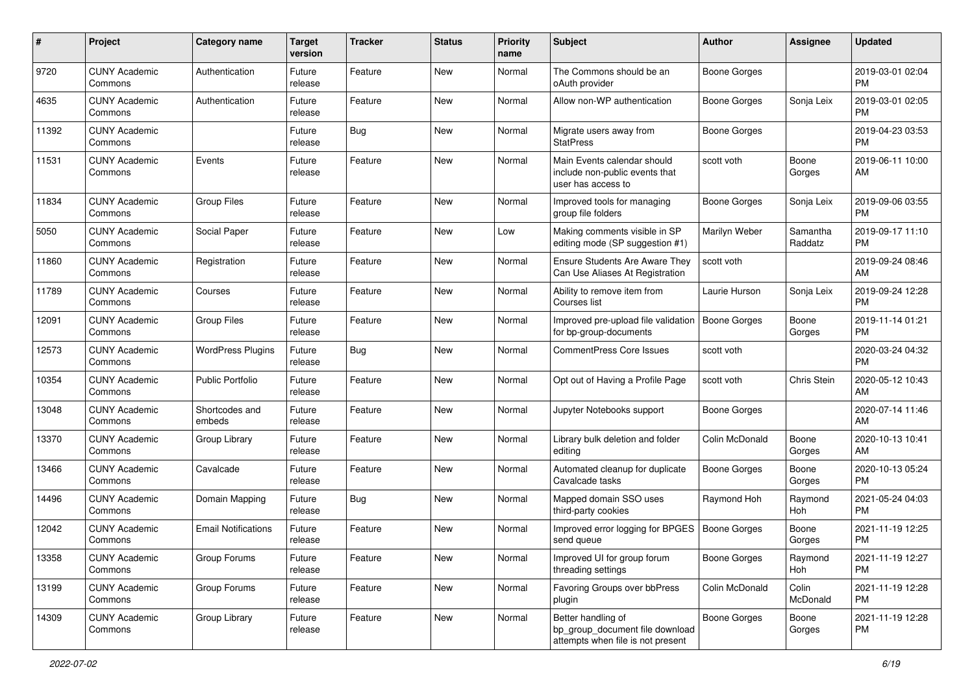| #     | Project                         | <b>Category name</b>       | <b>Target</b><br>version | <b>Tracker</b> | <b>Status</b> | Priority<br>name | <b>Subject</b>                                                                             | Author              | <b>Assignee</b>     | <b>Updated</b>                |
|-------|---------------------------------|----------------------------|--------------------------|----------------|---------------|------------------|--------------------------------------------------------------------------------------------|---------------------|---------------------|-------------------------------|
| 9720  | <b>CUNY Academic</b><br>Commons | Authentication             | Future<br>release        | Feature        | <b>New</b>    | Normal           | The Commons should be an<br>oAuth provider                                                 | <b>Boone Gorges</b> |                     | 2019-03-01 02:04<br><b>PM</b> |
| 4635  | <b>CUNY Academic</b><br>Commons | Authentication             | Future<br>release        | Feature        | New           | Normal           | Allow non-WP authentication                                                                | <b>Boone Gorges</b> | Sonja Leix          | 2019-03-01 02:05<br><b>PM</b> |
| 11392 | <b>CUNY Academic</b><br>Commons |                            | Future<br>release        | Bug            | New           | Normal           | Migrate users away from<br><b>StatPress</b>                                                | Boone Gorges        |                     | 2019-04-23 03:53<br><b>PM</b> |
| 11531 | <b>CUNY Academic</b><br>Commons | Events                     | Future<br>release        | Feature        | <b>New</b>    | Normal           | Main Events calendar should<br>include non-public events that<br>user has access to        | scott voth          | Boone<br>Gorges     | 2019-06-11 10:00<br>AM        |
| 11834 | <b>CUNY Academic</b><br>Commons | <b>Group Files</b>         | Future<br>release        | Feature        | <b>New</b>    | Normal           | Improved tools for managing<br>group file folders                                          | Boone Gorges        | Sonja Leix          | 2019-09-06 03:55<br><b>PM</b> |
| 5050  | <b>CUNY Academic</b><br>Commons | Social Paper               | Future<br>release        | Feature        | <b>New</b>    | Low              | Making comments visible in SP<br>editing mode (SP suggestion #1)                           | Marilyn Weber       | Samantha<br>Raddatz | 2019-09-17 11:10<br><b>PM</b> |
| 11860 | <b>CUNY Academic</b><br>Commons | Registration               | Future<br>release        | Feature        | New           | Normal           | Ensure Students Are Aware They<br>Can Use Aliases At Registration                          | scott voth          |                     | 2019-09-24 08:46<br>AM        |
| 11789 | <b>CUNY Academic</b><br>Commons | Courses                    | Future<br>release        | Feature        | <b>New</b>    | Normal           | Ability to remove item from<br>Courses list                                                | Laurie Hurson       | Sonja Leix          | 2019-09-24 12:28<br><b>PM</b> |
| 12091 | <b>CUNY Academic</b><br>Commons | <b>Group Files</b>         | Future<br>release        | Feature        | <b>New</b>    | Normal           | Improved pre-upload file validation<br>for bp-group-documents                              | Boone Gorges        | Boone<br>Gorges     | 2019-11-14 01:21<br><b>PM</b> |
| 12573 | <b>CUNY Academic</b><br>Commons | <b>WordPress Plugins</b>   | Future<br>release        | <b>Bug</b>     | <b>New</b>    | Normal           | <b>CommentPress Core Issues</b>                                                            | scott voth          |                     | 2020-03-24 04:32<br><b>PM</b> |
| 10354 | <b>CUNY Academic</b><br>Commons | <b>Public Portfolio</b>    | Future<br>release        | Feature        | New           | Normal           | Opt out of Having a Profile Page                                                           | scott voth          | Chris Stein         | 2020-05-12 10:43<br>AM        |
| 13048 | <b>CUNY Academic</b><br>Commons | Shortcodes and<br>embeds   | Future<br>release        | Feature        | <b>New</b>    | Normal           | Jupyter Notebooks support                                                                  | Boone Gorges        |                     | 2020-07-14 11:46<br>AM        |
| 13370 | <b>CUNY Academic</b><br>Commons | Group Library              | Future<br>release        | Feature        | <b>New</b>    | Normal           | Library bulk deletion and folder<br>editing                                                | Colin McDonald      | Boone<br>Gorges     | 2020-10-13 10:41<br>AM        |
| 13466 | <b>CUNY Academic</b><br>Commons | Cavalcade                  | Future<br>release        | Feature        | New           | Normal           | Automated cleanup for duplicate<br>Cavalcade tasks                                         | <b>Boone Gorges</b> | Boone<br>Gorges     | 2020-10-13 05:24<br><b>PM</b> |
| 14496 | <b>CUNY Academic</b><br>Commons | Domain Mapping             | Future<br>release        | Bug            | <b>New</b>    | Normal           | Mapped domain SSO uses<br>third-party cookies                                              | Raymond Hoh         | Raymond<br>Hoh      | 2021-05-24 04:03<br><b>PM</b> |
| 12042 | <b>CUNY Academic</b><br>Commons | <b>Email Notifications</b> | Future<br>release        | Feature        | New           | Normal           | Improved error logging for BPGES<br>send queue                                             | <b>Boone Gorges</b> | Boone<br>Gorges     | 2021-11-19 12:25<br><b>PM</b> |
| 13358 | <b>CUNY Academic</b><br>Commons | Group Forums               | Future<br>release        | Feature        | New           | Normal           | Improved UI for group forum<br>threading settings                                          | Boone Gorges        | Raymond<br>Hoh      | 2021-11-19 12:27<br><b>PM</b> |
| 13199 | <b>CUNY Academic</b><br>Commons | Group Forums               | Future<br>release        | Feature        | New           | Normal           | Favoring Groups over bbPress<br>plugin                                                     | Colin McDonald      | Colin<br>McDonald   | 2021-11-19 12:28<br><b>PM</b> |
| 14309 | <b>CUNY Academic</b><br>Commons | Group Library              | Future<br>release        | Feature        | New           | Normal           | Better handling of<br>bp_group_document file download<br>attempts when file is not present | Boone Gorges        | Boone<br>Gorges     | 2021-11-19 12:28<br>PM        |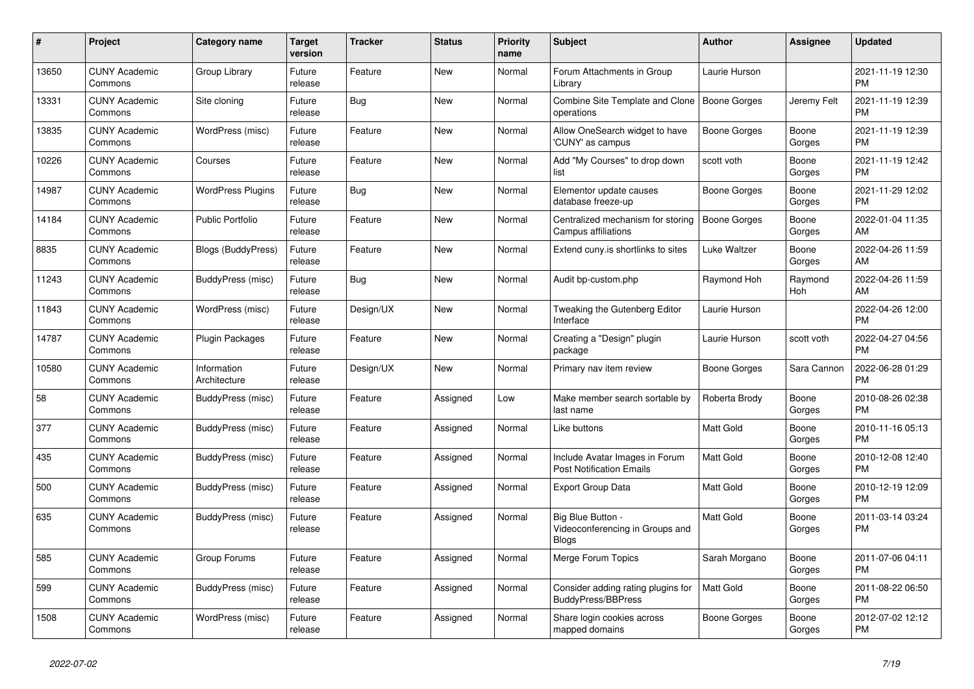| $\#$  | Project                         | <b>Category name</b>        | <b>Target</b><br>version | <b>Tracker</b> | <b>Status</b> | <b>Priority</b><br>name | <b>Subject</b>                                                       | <b>Author</b>       | Assignee        | <b>Updated</b>                |
|-------|---------------------------------|-----------------------------|--------------------------|----------------|---------------|-------------------------|----------------------------------------------------------------------|---------------------|-----------------|-------------------------------|
| 13650 | <b>CUNY Academic</b><br>Commons | Group Library               | Future<br>release        | Feature        | New           | Normal                  | Forum Attachments in Group<br>Library                                | Laurie Hurson       |                 | 2021-11-19 12:30<br><b>PM</b> |
| 13331 | <b>CUNY Academic</b><br>Commons | Site cloning                | Future<br>release        | <b>Bug</b>     | New           | Normal                  | Combine Site Template and Clone<br>operations                        | Boone Gorges        | Jeremy Felt     | 2021-11-19 12:39<br><b>PM</b> |
| 13835 | <b>CUNY Academic</b><br>Commons | WordPress (misc)            | Future<br>release        | Feature        | New           | Normal                  | Allow OneSearch widget to have<br>'CUNY' as campus                   | Boone Gorges        | Boone<br>Gorges | 2021-11-19 12:39<br><b>PM</b> |
| 10226 | <b>CUNY Academic</b><br>Commons | Courses                     | Future<br>release        | Feature        | New           | Normal                  | Add "My Courses" to drop down<br>list                                | scott voth          | Boone<br>Gorges | 2021-11-19 12:42<br><b>PM</b> |
| 14987 | <b>CUNY Academic</b><br>Commons | <b>WordPress Plugins</b>    | Future<br>release        | Bug            | New           | Normal                  | Elementor update causes<br>database freeze-up                        | Boone Gorges        | Boone<br>Gorges | 2021-11-29 12:02<br><b>PM</b> |
| 14184 | <b>CUNY Academic</b><br>Commons | <b>Public Portfolio</b>     | Future<br>release        | Feature        | <b>New</b>    | Normal                  | Centralized mechanism for storing<br><b>Campus affiliations</b>      | <b>Boone Gorges</b> | Boone<br>Gorges | 2022-01-04 11:35<br>AM        |
| 8835  | <b>CUNY Academic</b><br>Commons | <b>Blogs (BuddyPress)</b>   | Future<br>release        | Feature        | <b>New</b>    | Normal                  | Extend cuny is shortlinks to sites                                   | Luke Waltzer        | Boone<br>Gorges | 2022-04-26 11:59<br>AM        |
| 11243 | <b>CUNY Academic</b><br>Commons | BuddyPress (misc)           | Future<br>release        | Bug            | New           | Normal                  | Audit bp-custom.php                                                  | Raymond Hoh         | Raymond<br>Hoh  | 2022-04-26 11:59<br>AM        |
| 11843 | <b>CUNY Academic</b><br>Commons | WordPress (misc)            | Future<br>release        | Design/UX      | New           | Normal                  | Tweaking the Gutenberg Editor<br>Interface                           | Laurie Hurson       |                 | 2022-04-26 12:00<br><b>PM</b> |
| 14787 | <b>CUNY Academic</b><br>Commons | <b>Plugin Packages</b>      | Future<br>release        | Feature        | <b>New</b>    | Normal                  | Creating a "Design" plugin<br>package                                | Laurie Hurson       | scott voth      | 2022-04-27 04:56<br><b>PM</b> |
| 10580 | <b>CUNY Academic</b><br>Commons | Information<br>Architecture | Future<br>release        | Design/UX      | New           | Normal                  | Primary nav item review                                              | Boone Gorges        | Sara Cannon     | 2022-06-28 01:29<br><b>PM</b> |
| 58    | <b>CUNY Academic</b><br>Commons | BuddyPress (misc)           | Future<br>release        | Feature        | Assigned      | Low                     | Make member search sortable by<br>last name                          | Roberta Brody       | Boone<br>Gorges | 2010-08-26 02:38<br><b>PM</b> |
| 377   | <b>CUNY Academic</b><br>Commons | BuddyPress (misc)           | Future<br>release        | Feature        | Assigned      | Normal                  | Like buttons                                                         | <b>Matt Gold</b>    | Boone<br>Gorges | 2010-11-16 05:13<br><b>PM</b> |
| 435   | <b>CUNY Academic</b><br>Commons | BuddyPress (misc)           | Future<br>release        | Feature        | Assigned      | Normal                  | Include Avatar Images in Forum<br><b>Post Notification Emails</b>    | Matt Gold           | Boone<br>Gorges | 2010-12-08 12:40<br><b>PM</b> |
| 500   | <b>CUNY Academic</b><br>Commons | BuddyPress (misc)           | Future<br>release        | Feature        | Assigned      | Normal                  | <b>Export Group Data</b>                                             | <b>Matt Gold</b>    | Boone<br>Gorges | 2010-12-19 12:09<br><b>PM</b> |
| 635   | <b>CUNY Academic</b><br>Commons | BuddyPress (misc)           | Future<br>release        | Feature        | Assigned      | Normal                  | Big Blue Button -<br>Videoconferencing in Groups and<br><b>Blogs</b> | Matt Gold           | Boone<br>Gorges | 2011-03-14 03:24<br><b>PM</b> |
| 585   | <b>CUNY Academic</b><br>Commons | Group Forums                | Future<br>release        | Feature        | Assigned      | Normal                  | Merge Forum Topics                                                   | Sarah Morgano       | Boone<br>Gorges | 2011-07-06 04:11<br><b>PM</b> |
| 599   | <b>CUNY Academic</b><br>Commons | BuddyPress (misc)           | Future<br>release        | Feature        | Assigned      | Normal                  | Consider adding rating plugins for<br>BuddyPress/BBPress             | <b>Matt Gold</b>    | Boone<br>Gorges | 2011-08-22 06:50<br><b>PM</b> |
| 1508  | <b>CUNY Academic</b><br>Commons | WordPress (misc)            | Future<br>release        | Feature        | Assigned      | Normal                  | Share login cookies across<br>mapped domains                         | Boone Gorges        | Boone<br>Gorges | 2012-07-02 12:12<br><b>PM</b> |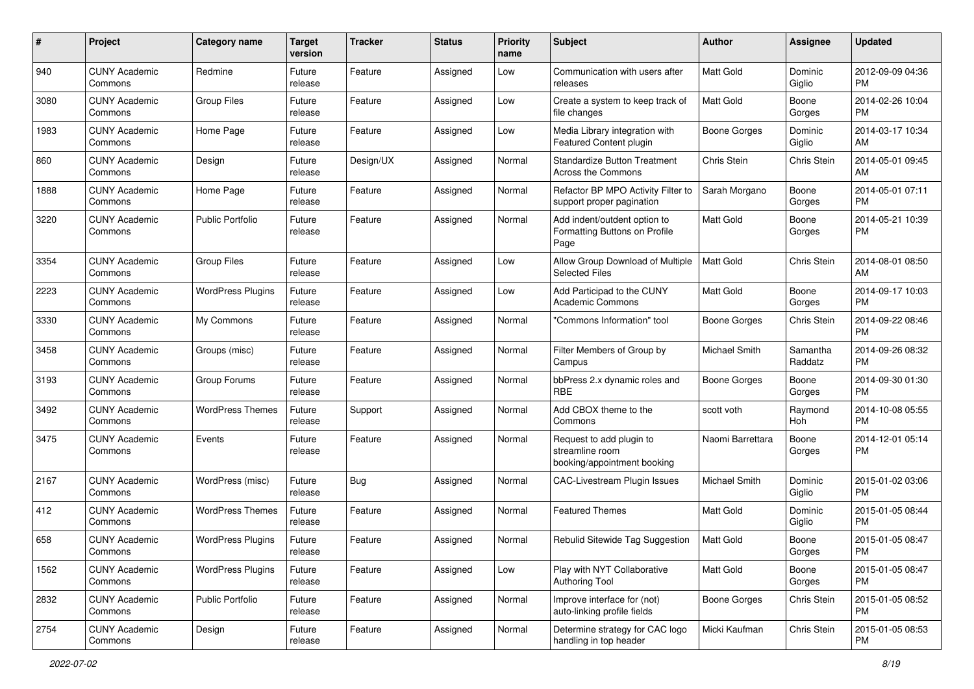| #    | Project                         | <b>Category name</b>     | <b>Target</b><br>version | <b>Tracker</b> | <b>Status</b> | Priority<br>name | <b>Subject</b>                                                             | Author              | <b>Assignee</b>     | <b>Updated</b>                |
|------|---------------------------------|--------------------------|--------------------------|----------------|---------------|------------------|----------------------------------------------------------------------------|---------------------|---------------------|-------------------------------|
| 940  | <b>CUNY Academic</b><br>Commons | Redmine                  | Future<br>release        | Feature        | Assigned      | Low              | Communication with users after<br>releases                                 | <b>Matt Gold</b>    | Dominic<br>Giglio   | 2012-09-09 04:36<br>PM.       |
| 3080 | <b>CUNY Academic</b><br>Commons | <b>Group Files</b>       | Future<br>release        | Feature        | Assigned      | Low              | Create a system to keep track of<br>file changes                           | <b>Matt Gold</b>    | Boone<br>Gorges     | 2014-02-26 10:04<br><b>PM</b> |
| 1983 | <b>CUNY Academic</b><br>Commons | Home Page                | Future<br>release        | Feature        | Assigned      | Low              | Media Library integration with<br>Featured Content plugin                  | Boone Gorges        | Dominic<br>Giglio   | 2014-03-17 10:34<br>AM        |
| 860  | <b>CUNY Academic</b><br>Commons | Design                   | Future<br>release        | Design/UX      | Assigned      | Normal           | <b>Standardize Button Treatment</b><br><b>Across the Commons</b>           | Chris Stein         | Chris Stein         | 2014-05-01 09:45<br>AM        |
| 1888 | <b>CUNY Academic</b><br>Commons | Home Page                | Future<br>release        | Feature        | Assigned      | Normal           | Refactor BP MPO Activity Filter to<br>support proper pagination            | Sarah Morgano       | Boone<br>Gorges     | 2014-05-01 07:11<br><b>PM</b> |
| 3220 | <b>CUNY Academic</b><br>Commons | <b>Public Portfolio</b>  | Future<br>release        | Feature        | Assigned      | Normal           | Add indent/outdent option to<br>Formatting Buttons on Profile<br>Page      | Matt Gold           | Boone<br>Gorges     | 2014-05-21 10:39<br>PM.       |
| 3354 | <b>CUNY Academic</b><br>Commons | <b>Group Files</b>       | Future<br>release        | Feature        | Assigned      | Low              | Allow Group Download of Multiple<br><b>Selected Files</b>                  | <b>Matt Gold</b>    | Chris Stein         | 2014-08-01 08:50<br>AM        |
| 2223 | <b>CUNY Academic</b><br>Commons | <b>WordPress Plugins</b> | Future<br>release        | Feature        | Assigned      | Low              | Add Participad to the CUNY<br><b>Academic Commons</b>                      | <b>Matt Gold</b>    | Boone<br>Gorges     | 2014-09-17 10:03<br>PM.       |
| 3330 | <b>CUNY Academic</b><br>Commons | My Commons               | Future<br>release        | Feature        | Assigned      | Normal           | 'Commons Information" tool                                                 | <b>Boone Gorges</b> | Chris Stein         | 2014-09-22 08:46<br><b>PM</b> |
| 3458 | <b>CUNY Academic</b><br>Commons | Groups (misc)            | Future<br>release        | Feature        | Assigned      | Normal           | Filter Members of Group by<br>Campus                                       | Michael Smith       | Samantha<br>Raddatz | 2014-09-26 08:32<br><b>PM</b> |
| 3193 | <b>CUNY Academic</b><br>Commons | Group Forums             | Future<br>release        | Feature        | Assigned      | Normal           | bbPress 2.x dynamic roles and<br><b>RBE</b>                                | Boone Gorges        | Boone<br>Gorges     | 2014-09-30 01:30<br><b>PM</b> |
| 3492 | <b>CUNY Academic</b><br>Commons | <b>WordPress Themes</b>  | Future<br>release        | Support        | Assigned      | Normal           | Add CBOX theme to the<br>Commons                                           | scott voth          | Raymond<br>Hoh      | 2014-10-08 05:55<br><b>PM</b> |
| 3475 | <b>CUNY Academic</b><br>Commons | Events                   | Future<br>release        | Feature        | Assigned      | Normal           | Request to add plugin to<br>streamline room<br>booking/appointment booking | Naomi Barrettara    | Boone<br>Gorges     | 2014-12-01 05:14<br><b>PM</b> |
| 2167 | <b>CUNY Academic</b><br>Commons | WordPress (misc)         | Future<br>release        | <b>Bug</b>     | Assigned      | Normal           | <b>CAC-Livestream Plugin Issues</b>                                        | Michael Smith       | Dominic<br>Giglio   | 2015-01-02 03:06<br><b>PM</b> |
| 412  | <b>CUNY Academic</b><br>Commons | <b>WordPress Themes</b>  | Future<br>release        | Feature        | Assigned      | Normal           | <b>Featured Themes</b>                                                     | Matt Gold           | Dominic<br>Giglio   | 2015-01-05 08:44<br><b>PM</b> |
| 658  | <b>CUNY Academic</b><br>Commons | <b>WordPress Plugins</b> | Future<br>release        | Feature        | Assigned      | Normal           | Rebulid Sitewide Tag Suggestion                                            | <b>Matt Gold</b>    | Boone<br>Gorges     | 2015-01-05 08:47<br>PM        |
| 1562 | <b>CUNY Academic</b><br>Commons | <b>WordPress Plugins</b> | Future<br>release        | Feature        | Assigned      | Low              | Play with NYT Collaborative<br>Authoring Tool                              | Matt Gold           | Boone<br>Gorges     | 2015-01-05 08:47<br>PM.       |
| 2832 | <b>CUNY Academic</b><br>Commons | <b>Public Portfolio</b>  | Future<br>release        | Feature        | Assigned      | Normal           | Improve interface for (not)<br>auto-linking profile fields                 | Boone Gorges        | Chris Stein         | 2015-01-05 08:52<br><b>PM</b> |
| 2754 | <b>CUNY Academic</b><br>Commons | Design                   | Future<br>release        | Feature        | Assigned      | Normal           | Determine strategy for CAC logo<br>handling in top header                  | Micki Kaufman       | Chris Stein         | 2015-01-05 08:53<br><b>PM</b> |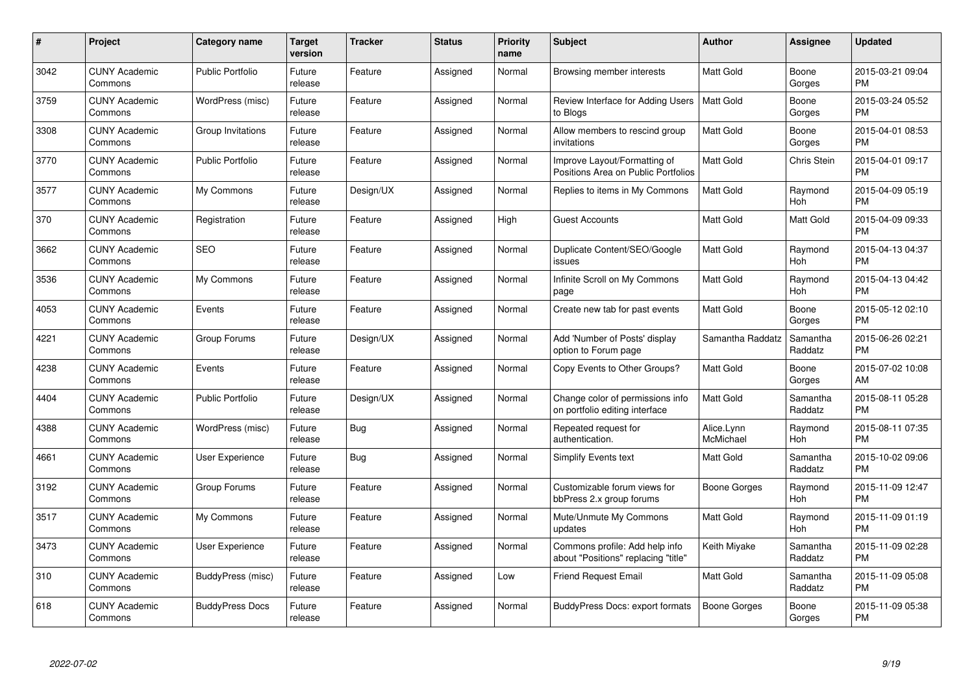| $\#$ | Project                         | <b>Category name</b>    | Target<br>version | <b>Tracker</b> | <b>Status</b> | Priority<br>name | <b>Subject</b>                                                        | <b>Author</b>           | <b>Assignee</b>     | <b>Updated</b>                |
|------|---------------------------------|-------------------------|-------------------|----------------|---------------|------------------|-----------------------------------------------------------------------|-------------------------|---------------------|-------------------------------|
| 3042 | <b>CUNY Academic</b><br>Commons | <b>Public Portfolio</b> | Future<br>release | Feature        | Assigned      | Normal           | Browsing member interests                                             | <b>Matt Gold</b>        | Boone<br>Gorges     | 2015-03-21 09:04<br><b>PM</b> |
| 3759 | <b>CUNY Academic</b><br>Commons | WordPress (misc)        | Future<br>release | Feature        | Assigned      | Normal           | Review Interface for Adding Users<br>to Blogs                         | <b>Matt Gold</b>        | Boone<br>Gorges     | 2015-03-24 05:52<br><b>PM</b> |
| 3308 | <b>CUNY Academic</b><br>Commons | Group Invitations       | Future<br>release | Feature        | Assigned      | Normal           | Allow members to rescind group<br>invitations                         | Matt Gold               | Boone<br>Gorges     | 2015-04-01 08:53<br><b>PM</b> |
| 3770 | <b>CUNY Academic</b><br>Commons | <b>Public Portfolio</b> | Future<br>release | Feature        | Assigned      | Normal           | Improve Layout/Formatting of<br>Positions Area on Public Portfolios   | Matt Gold               | <b>Chris Stein</b>  | 2015-04-01 09:17<br><b>PM</b> |
| 3577 | <b>CUNY Academic</b><br>Commons | My Commons              | Future<br>release | Design/UX      | Assigned      | Normal           | Replies to items in My Commons                                        | <b>Matt Gold</b>        | Raymond<br>Hoh      | 2015-04-09 05:19<br><b>PM</b> |
| 370  | <b>CUNY Academic</b><br>Commons | Registration            | Future<br>release | Feature        | Assigned      | High             | <b>Guest Accounts</b>                                                 | <b>Matt Gold</b>        | Matt Gold           | 2015-04-09 09:33<br><b>PM</b> |
| 3662 | <b>CUNY Academic</b><br>Commons | <b>SEO</b>              | Future<br>release | Feature        | Assigned      | Normal           | Duplicate Content/SEO/Google<br>issues                                | <b>Matt Gold</b>        | Raymond<br>Hoh      | 2015-04-13 04:37<br><b>PM</b> |
| 3536 | <b>CUNY Academic</b><br>Commons | My Commons              | Future<br>release | Feature        | Assigned      | Normal           | Infinite Scroll on My Commons<br>page                                 | <b>Matt Gold</b>        | Raymond<br>Hoh      | 2015-04-13 04:42<br><b>PM</b> |
| 4053 | <b>CUNY Academic</b><br>Commons | Events                  | Future<br>release | Feature        | Assigned      | Normal           | Create new tab for past events                                        | <b>Matt Gold</b>        | Boone<br>Gorges     | 2015-05-12 02:10<br><b>PM</b> |
| 4221 | <b>CUNY Academic</b><br>Commons | Group Forums            | Future<br>release | Design/UX      | Assigned      | Normal           | Add 'Number of Posts' display<br>option to Forum page                 | Samantha Raddatz        | Samantha<br>Raddatz | 2015-06-26 02:21<br><b>PM</b> |
| 4238 | <b>CUNY Academic</b><br>Commons | Events                  | Future<br>release | Feature        | Assigned      | Normal           | Copy Events to Other Groups?                                          | Matt Gold               | Boone<br>Gorges     | 2015-07-02 10:08<br>AM        |
| 4404 | <b>CUNY Academic</b><br>Commons | <b>Public Portfolio</b> | Future<br>release | Design/UX      | Assigned      | Normal           | Change color of permissions info<br>on portfolio editing interface    | Matt Gold               | Samantha<br>Raddatz | 2015-08-11 05:28<br><b>PM</b> |
| 4388 | <b>CUNY Academic</b><br>Commons | WordPress (misc)        | Future<br>release | Bug            | Assigned      | Normal           | Repeated request for<br>authentication.                               | Alice.Lynn<br>McMichael | Raymond<br>Hoh      | 2015-08-11 07:35<br><b>PM</b> |
| 4661 | <b>CUNY Academic</b><br>Commons | <b>User Experience</b>  | Future<br>release | Bug            | Assigned      | Normal           | Simplify Events text                                                  | Matt Gold               | Samantha<br>Raddatz | 2015-10-02 09:06<br><b>PM</b> |
| 3192 | <b>CUNY Academic</b><br>Commons | Group Forums            | Future<br>release | Feature        | Assigned      | Normal           | Customizable forum views for<br>bbPress 2.x group forums              | Boone Gorges            | Raymond<br>Hoh      | 2015-11-09 12:47<br><b>PM</b> |
| 3517 | <b>CUNY Academic</b><br>Commons | My Commons              | Future<br>release | Feature        | Assigned      | Normal           | Mute/Unmute My Commons<br>updates                                     | Matt Gold               | Raymond<br>Hoh      | 2015-11-09 01:19<br><b>PM</b> |
| 3473 | <b>CUNY Academic</b><br>Commons | User Experience         | Future<br>release | Feature        | Assigned      | Normal           | Commons profile: Add help info<br>about "Positions" replacing "title" | Keith Miyake            | Samantha<br>Raddatz | 2015-11-09 02:28<br><b>PM</b> |
| 310  | <b>CUNY Academic</b><br>Commons | BuddyPress (misc)       | Future<br>release | Feature        | Assigned      | Low              | <b>Friend Request Email</b>                                           | Matt Gold               | Samantha<br>Raddatz | 2015-11-09 05:08<br><b>PM</b> |
| 618  | <b>CUNY Academic</b><br>Commons | <b>BuddyPress Docs</b>  | Future<br>release | Feature        | Assigned      | Normal           | <b>BuddyPress Docs: export formats</b>                                | Boone Gorges            | Boone<br>Gorges     | 2015-11-09 05:38<br><b>PM</b> |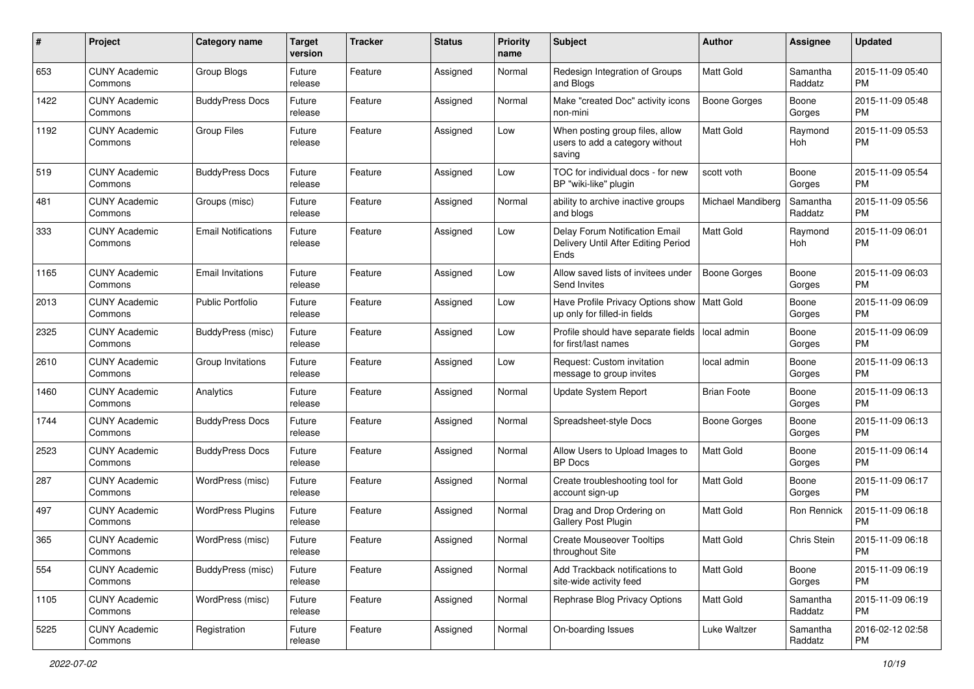| #    | Project                         | <b>Category name</b>       | <b>Target</b><br>version | <b>Tracker</b> | <b>Status</b> | <b>Priority</b><br>name | Subject                                                                       | Author              | <b>Assignee</b>     | <b>Updated</b>                |
|------|---------------------------------|----------------------------|--------------------------|----------------|---------------|-------------------------|-------------------------------------------------------------------------------|---------------------|---------------------|-------------------------------|
| 653  | <b>CUNY Academic</b><br>Commons | Group Blogs                | Future<br>release        | Feature        | Assigned      | Normal                  | Redesign Integration of Groups<br>and Blogs                                   | <b>Matt Gold</b>    | Samantha<br>Raddatz | 2015-11-09 05:40<br><b>PM</b> |
| 1422 | <b>CUNY Academic</b><br>Commons | <b>BuddyPress Docs</b>     | Future<br>release        | Feature        | Assigned      | Normal                  | Make "created Doc" activity icons<br>non-mini                                 | <b>Boone Gorges</b> | Boone<br>Gorges     | 2015-11-09 05:48<br><b>PM</b> |
| 1192 | <b>CUNY Academic</b><br>Commons | <b>Group Files</b>         | Future<br>release        | Feature        | Assigned      | Low                     | When posting group files, allow<br>users to add a category without<br>saving  | <b>Matt Gold</b>    | Raymond<br>Hoh      | 2015-11-09 05:53<br><b>PM</b> |
| 519  | <b>CUNY Academic</b><br>Commons | <b>BuddyPress Docs</b>     | Future<br>release        | Feature        | Assigned      | Low                     | TOC for individual docs - for new<br>BP "wiki-like" plugin                    | scott voth          | Boone<br>Gorges     | 2015-11-09 05:54<br><b>PM</b> |
| 481  | <b>CUNY Academic</b><br>Commons | Groups (misc)              | Future<br>release        | Feature        | Assigned      | Normal                  | ability to archive inactive groups<br>and blogs                               | Michael Mandiberg   | Samantha<br>Raddatz | 2015-11-09 05:56<br><b>PM</b> |
| 333  | <b>CUNY Academic</b><br>Commons | <b>Email Notifications</b> | Future<br>release        | Feature        | Assigned      | Low                     | Delay Forum Notification Email<br>Delivery Until After Editing Period<br>Ends | <b>Matt Gold</b>    | Raymond<br>Hoh      | 2015-11-09 06:01<br><b>PM</b> |
| 1165 | <b>CUNY Academic</b><br>Commons | <b>Email Invitations</b>   | Future<br>release        | Feature        | Assigned      | Low                     | Allow saved lists of invitees under<br>Send Invites                           | Boone Gorges        | Boone<br>Gorges     | 2015-11-09 06:03<br><b>PM</b> |
| 2013 | <b>CUNY Academic</b><br>Commons | Public Portfolio           | Future<br>release        | Feature        | Assigned      | Low                     | Have Profile Privacy Options show   Matt Gold<br>up only for filled-in fields |                     | Boone<br>Gorges     | 2015-11-09 06:09<br><b>PM</b> |
| 2325 | <b>CUNY Academic</b><br>Commons | BuddyPress (misc)          | Future<br>release        | Feature        | Assigned      | Low                     | Profile should have separate fields<br>for first/last names                   | local admin         | Boone<br>Gorges     | 2015-11-09 06:09<br><b>PM</b> |
| 2610 | <b>CUNY Academic</b><br>Commons | Group Invitations          | Future<br>release        | Feature        | Assigned      | Low                     | Request: Custom invitation<br>message to group invites                        | local admin         | Boone<br>Gorges     | 2015-11-09 06:13<br>PM        |
| 1460 | <b>CUNY Academic</b><br>Commons | Analytics                  | Future<br>release        | Feature        | Assigned      | Normal                  | Update System Report                                                          | <b>Brian Foote</b>  | Boone<br>Gorges     | 2015-11-09 06:13<br><b>PM</b> |
| 1744 | <b>CUNY Academic</b><br>Commons | <b>BuddyPress Docs</b>     | Future<br>release        | Feature        | Assigned      | Normal                  | Spreadsheet-style Docs                                                        | Boone Gorges        | Boone<br>Gorges     | 2015-11-09 06:13<br><b>PM</b> |
| 2523 | <b>CUNY Academic</b><br>Commons | <b>BuddyPress Docs</b>     | Future<br>release        | Feature        | Assigned      | Normal                  | Allow Users to Upload Images to<br><b>BP</b> Docs                             | <b>Matt Gold</b>    | Boone<br>Gorges     | 2015-11-09 06:14<br><b>PM</b> |
| 287  | <b>CUNY Academic</b><br>Commons | WordPress (misc)           | Future<br>release        | Feature        | Assigned      | Normal                  | Create troubleshooting tool for<br>account sign-up                            | Matt Gold           | Boone<br>Gorges     | 2015-11-09 06:17<br><b>PM</b> |
| 497  | <b>CUNY Academic</b><br>Commons | <b>WordPress Plugins</b>   | Future<br>release        | Feature        | Assigned      | Normal                  | Drag and Drop Ordering on<br>Gallery Post Plugin                              | <b>Matt Gold</b>    | Ron Rennick         | 2015-11-09 06:18<br><b>PM</b> |
| 365  | <b>CUNY Academic</b><br>Commons | WordPress (misc)           | Future<br>release        | Feature        | Assigned      | Normal                  | <b>Create Mouseover Tooltips</b><br>throughout Site                           | <b>Matt Gold</b>    | Chris Stein         | 2015-11-09 06:18<br>PM        |
| 554  | <b>CUNY Academic</b><br>Commons | <b>BuddyPress</b> (misc)   | Future<br>release        | Feature        | Assigned      | Normal                  | Add Trackback notifications to<br>site-wide activity feed                     | Matt Gold           | Boone<br>Gorges     | 2015-11-09 06:19<br><b>PM</b> |
| 1105 | <b>CUNY Academic</b><br>Commons | WordPress (misc)           | Future<br>release        | Feature        | Assigned      | Normal                  | Rephrase Blog Privacy Options                                                 | <b>Matt Gold</b>    | Samantha<br>Raddatz | 2015-11-09 06:19<br><b>PM</b> |
| 5225 | <b>CUNY Academic</b><br>Commons | Registration               | Future<br>release        | Feature        | Assigned      | Normal                  | On-boarding Issues                                                            | Luke Waltzer        | Samantha<br>Raddatz | 2016-02-12 02:58<br><b>PM</b> |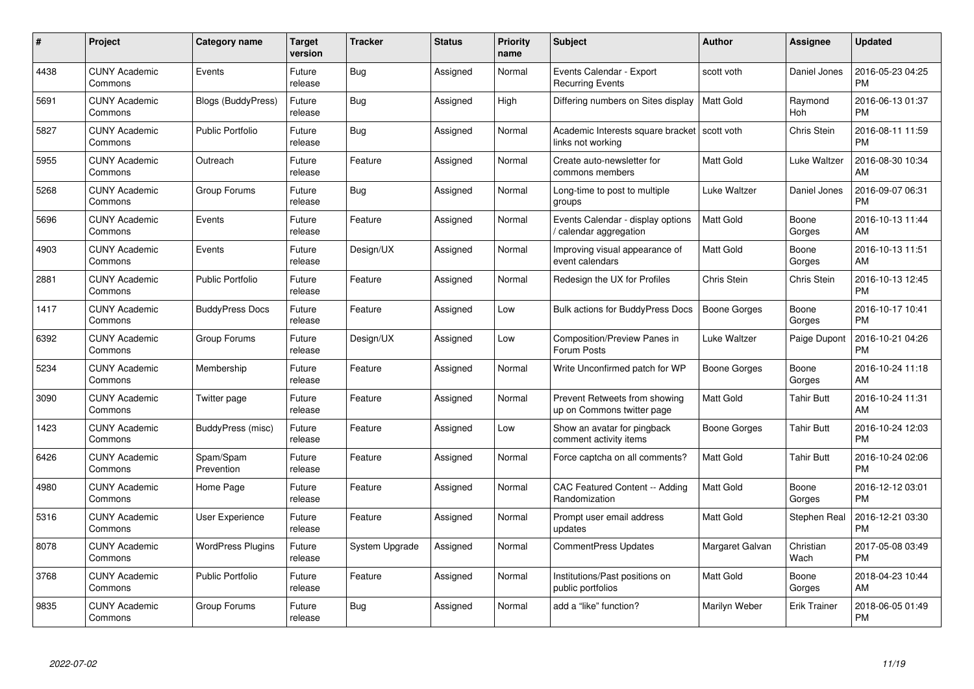| #    | Project                         | <b>Category name</b>      | <b>Target</b><br>version | <b>Tracker</b> | <b>Status</b> | <b>Priority</b><br>name | <b>Subject</b>                                                      | <b>Author</b>    | <b>Assignee</b>   | <b>Updated</b>                |
|------|---------------------------------|---------------------------|--------------------------|----------------|---------------|-------------------------|---------------------------------------------------------------------|------------------|-------------------|-------------------------------|
| 4438 | <b>CUNY Academic</b><br>Commons | Events                    | Future<br>release        | Bug            | Assigned      | Normal                  | Events Calendar - Export<br><b>Recurring Events</b>                 | scott voth       | Daniel Jones      | 2016-05-23 04:25<br><b>PM</b> |
| 5691 | <b>CUNY Academic</b><br>Commons | <b>Blogs (BuddyPress)</b> | Future<br>release        | Bug            | Assigned      | High                    | Differing numbers on Sites display                                  | <b>Matt Gold</b> | Raymond<br>Hoh    | 2016-06-13 01:37<br><b>PM</b> |
| 5827 | <b>CUNY Academic</b><br>Commons | <b>Public Portfolio</b>   | Future<br>release        | <b>Bug</b>     | Assigned      | Normal                  | Academic Interests square bracket   scott voth<br>links not working |                  | Chris Stein       | 2016-08-11 11:59<br><b>PM</b> |
| 5955 | <b>CUNY Academic</b><br>Commons | Outreach                  | Future<br>release        | Feature        | Assigned      | Normal                  | Create auto-newsletter for<br>commons members                       | <b>Matt Gold</b> | Luke Waltzer      | 2016-08-30 10:34<br>AM        |
| 5268 | <b>CUNY Academic</b><br>Commons | Group Forums              | Future<br>release        | Bug            | Assigned      | Normal                  | Long-time to post to multiple<br>groups                             | Luke Waltzer     | Daniel Jones      | 2016-09-07 06:31<br><b>PM</b> |
| 5696 | <b>CUNY Academic</b><br>Commons | Events                    | Future<br>release        | Feature        | Assigned      | Normal                  | Events Calendar - display options<br>/ calendar aggregation         | <b>Matt Gold</b> | Boone<br>Gorges   | 2016-10-13 11:44<br>AM        |
| 4903 | <b>CUNY Academic</b><br>Commons | Events                    | Future<br>release        | Design/UX      | Assigned      | Normal                  | Improving visual appearance of<br>event calendars                   | <b>Matt Gold</b> | Boone<br>Gorges   | 2016-10-13 11:51<br>AM        |
| 2881 | <b>CUNY Academic</b><br>Commons | <b>Public Portfolio</b>   | Future<br>release        | Feature        | Assigned      | Normal                  | Redesign the UX for Profiles                                        | Chris Stein      | Chris Stein       | 2016-10-13 12:45<br><b>PM</b> |
| 1417 | <b>CUNY Academic</b><br>Commons | <b>BuddyPress Docs</b>    | Future<br>release        | Feature        | Assigned      | Low                     | <b>Bulk actions for BuddyPress Docs</b>                             | Boone Gorges     | Boone<br>Gorges   | 2016-10-17 10:41<br><b>PM</b> |
| 6392 | <b>CUNY Academic</b><br>Commons | Group Forums              | Future<br>release        | Design/UX      | Assigned      | Low                     | Composition/Preview Panes in<br>Forum Posts                         | Luke Waltzer     | Paige Dupont      | 2016-10-21 04:26<br><b>PM</b> |
| 5234 | <b>CUNY Academic</b><br>Commons | Membership                | Future<br>release        | Feature        | Assigned      | Normal                  | Write Unconfirmed patch for WP                                      | Boone Gorges     | Boone<br>Gorges   | 2016-10-24 11:18<br>AM        |
| 3090 | <b>CUNY Academic</b><br>Commons | Twitter page              | Future<br>release        | Feature        | Assigned      | Normal                  | Prevent Retweets from showing<br>up on Commons twitter page         | Matt Gold        | Tahir Butt        | 2016-10-24 11:31<br>AM        |
| 1423 | <b>CUNY Academic</b><br>Commons | BuddyPress (misc)         | Future<br>release        | Feature        | Assigned      | Low                     | Show an avatar for pingback<br>comment activity items               | Boone Gorges     | <b>Tahir Butt</b> | 2016-10-24 12:03<br><b>PM</b> |
| 6426 | <b>CUNY Academic</b><br>Commons | Spam/Spam<br>Prevention   | Future<br>release        | Feature        | Assigned      | Normal                  | Force captcha on all comments?                                      | <b>Matt Gold</b> | Tahir Butt        | 2016-10-24 02:06<br><b>PM</b> |
| 4980 | <b>CUNY Academic</b><br>Commons | Home Page                 | Future<br>release        | Feature        | Assigned      | Normal                  | CAC Featured Content -- Adding<br>Randomization                     | <b>Matt Gold</b> | Boone<br>Gorges   | 2016-12-12 03:01<br><b>PM</b> |
| 5316 | <b>CUNY Academic</b><br>Commons | <b>User Experience</b>    | Future<br>release        | Feature        | Assigned      | Normal                  | Prompt user email address<br>updates                                | <b>Matt Gold</b> | Stephen Real      | 2016-12-21 03:30<br><b>PM</b> |
| 8078 | <b>CUNY Academic</b><br>Commons | <b>WordPress Plugins</b>  | Future<br>release        | System Upgrade | Assigned      | Normal                  | CommentPress Updates                                                | Margaret Galvan  | Christian<br>Wach | 2017-05-08 03:49<br><b>PM</b> |
| 3768 | <b>CUNY Academic</b><br>Commons | <b>Public Portfolio</b>   | Future<br>release        | Feature        | Assigned      | Normal                  | Institutions/Past positions on<br>public portfolios                 | Matt Gold        | Boone<br>Gorges   | 2018-04-23 10:44<br>AM        |
| 9835 | <b>CUNY Academic</b><br>Commons | Group Forums              | Future<br>release        | Bug            | Assigned      | Normal                  | add a "like" function?                                              | Marilyn Weber    | Erik Trainer      | 2018-06-05 01:49<br><b>PM</b> |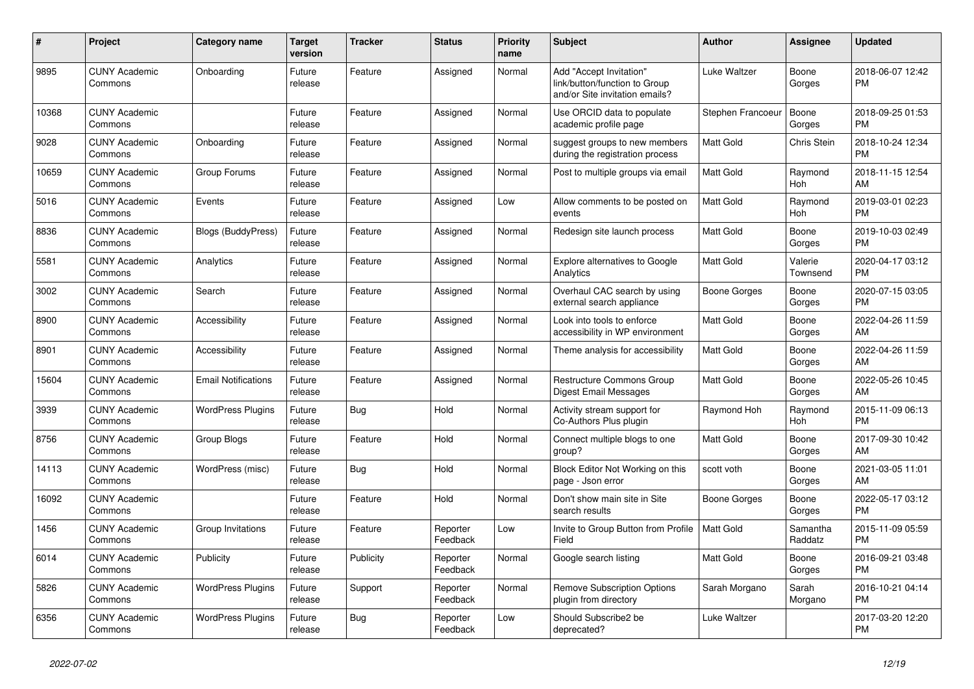| $\vert$ # | <b>Project</b>                  | <b>Category name</b>       | <b>Target</b><br>version | <b>Tracker</b> | <b>Status</b>        | Priority<br>name | <b>Subject</b>                                                                             | <b>Author</b>     | Assignee            | <b>Updated</b>                |
|-----------|---------------------------------|----------------------------|--------------------------|----------------|----------------------|------------------|--------------------------------------------------------------------------------------------|-------------------|---------------------|-------------------------------|
| 9895      | <b>CUNY Academic</b><br>Commons | Onboarding                 | Future<br>release        | Feature        | Assigned             | Normal           | Add "Accept Invitation"<br>link/button/function to Group<br>and/or Site invitation emails? | Luke Waltzer      | Boone<br>Gorges     | 2018-06-07 12:42<br><b>PM</b> |
| 10368     | <b>CUNY Academic</b><br>Commons |                            | Future<br>release        | Feature        | Assigned             | Normal           | Use ORCID data to populate<br>academic profile page                                        | Stephen Francoeur | Boone<br>Gorges     | 2018-09-25 01:53<br><b>PM</b> |
| 9028      | <b>CUNY Academic</b><br>Commons | Onboarding                 | Future<br>release        | Feature        | Assigned             | Normal           | suggest groups to new members<br>during the registration process                           | Matt Gold         | Chris Stein         | 2018-10-24 12:34<br><b>PM</b> |
| 10659     | <b>CUNY Academic</b><br>Commons | Group Forums               | Future<br>release        | Feature        | Assigned             | Normal           | Post to multiple groups via email                                                          | Matt Gold         | Raymond<br>Hoh      | 2018-11-15 12:54<br><b>AM</b> |
| 5016      | <b>CUNY Academic</b><br>Commons | Events                     | Future<br>release        | Feature        | Assigned             | Low              | Allow comments to be posted on<br>events                                                   | <b>Matt Gold</b>  | Raymond<br>Hoh      | 2019-03-01 02:23<br><b>PM</b> |
| 8836      | <b>CUNY Academic</b><br>Commons | <b>Blogs (BuddyPress)</b>  | Future<br>release        | Feature        | Assigned             | Normal           | Redesign site launch process                                                               | <b>Matt Gold</b>  | Boone<br>Gorges     | 2019-10-03 02:49<br><b>PM</b> |
| 5581      | <b>CUNY Academic</b><br>Commons | Analytics                  | Future<br>release        | Feature        | Assigned             | Normal           | <b>Explore alternatives to Google</b><br>Analytics                                         | Matt Gold         | Valerie<br>Townsend | 2020-04-17 03:12<br><b>PM</b> |
| 3002      | <b>CUNY Academic</b><br>Commons | Search                     | Future<br>release        | Feature        | Assigned             | Normal           | Overhaul CAC search by using<br>external search appliance                                  | Boone Gorges      | Boone<br>Gorges     | 2020-07-15 03:05<br><b>PM</b> |
| 8900      | <b>CUNY Academic</b><br>Commons | Accessibility              | Future<br>release        | Feature        | Assigned             | Normal           | Look into tools to enforce<br>accessibility in WP environment                              | <b>Matt Gold</b>  | Boone<br>Gorges     | 2022-04-26 11:59<br><b>AM</b> |
| 8901      | <b>CUNY Academic</b><br>Commons | Accessibility              | Future<br>release        | Feature        | Assigned             | Normal           | Theme analysis for accessibility                                                           | Matt Gold         | Boone<br>Gorges     | 2022-04-26 11:59<br>AM        |
| 15604     | <b>CUNY Academic</b><br>Commons | <b>Email Notifications</b> | Future<br>release        | Feature        | Assigned             | Normal           | Restructure Commons Group<br>Digest Email Messages                                         | Matt Gold         | Boone<br>Gorges     | 2022-05-26 10:45<br>AM        |
| 3939      | <b>CUNY Academic</b><br>Commons | <b>WordPress Plugins</b>   | Future<br>release        | Bug            | Hold                 | Normal           | Activity stream support for<br>Co-Authors Plus plugin                                      | Raymond Hoh       | Raymond<br>Hoh      | 2015-11-09 06:13<br><b>PM</b> |
| 8756      | <b>CUNY Academic</b><br>Commons | Group Blogs                | Future<br>release        | Feature        | Hold                 | Normal           | Connect multiple blogs to one<br>group?                                                    | <b>Matt Gold</b>  | Boone<br>Gorges     | 2017-09-30 10:42<br>AM        |
| 14113     | <b>CUNY Academic</b><br>Commons | WordPress (misc)           | Future<br>release        | Bug            | Hold                 | Normal           | Block Editor Not Working on this<br>page - Json error                                      | scott voth        | Boone<br>Gorges     | 2021-03-05 11:01<br>AM        |
| 16092     | <b>CUNY Academic</b><br>Commons |                            | Future<br>release        | Feature        | Hold                 | Normal           | Don't show main site in Site<br>search results                                             | Boone Gorges      | Boone<br>Gorges     | 2022-05-17 03:12<br><b>PM</b> |
| 1456      | <b>CUNY Academic</b><br>Commons | Group Invitations          | Future<br>release        | Feature        | Reporter<br>Feedback | Low              | Invite to Group Button from Profile<br>Field                                               | Matt Gold         | Samantha<br>Raddatz | 2015-11-09 05:59<br><b>PM</b> |
| 6014      | <b>CUNY Academic</b><br>Commons | Publicity                  | Future<br>release        | Publicity      | Reporter<br>Feedback | Normal           | Google search listing                                                                      | <b>Matt Gold</b>  | Boone<br>Gorges     | 2016-09-21 03:48<br><b>PM</b> |
| 5826      | <b>CUNY Academic</b><br>Commons | <b>WordPress Plugins</b>   | Future<br>release        | Support        | Reporter<br>Feedback | Normal           | <b>Remove Subscription Options</b><br>plugin from directory                                | Sarah Morgano     | Sarah<br>Morgano    | 2016-10-21 04:14<br><b>PM</b> |
| 6356      | <b>CUNY Academic</b><br>Commons | <b>WordPress Plugins</b>   | Future<br>release        | <b>Bug</b>     | Reporter<br>Feedback | Low              | Should Subscribe2 be<br>deprecated?                                                        | Luke Waltzer      |                     | 2017-03-20 12:20<br><b>PM</b> |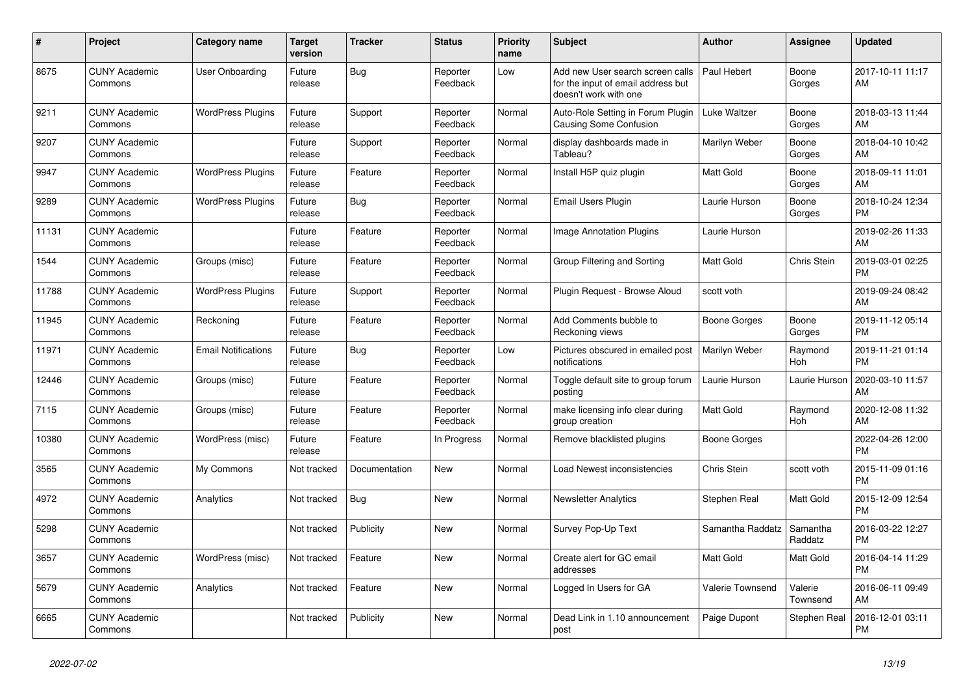| #     | <b>Project</b>                  | Category name              | <b>Target</b><br>version | <b>Tracker</b> | <b>Status</b>        | <b>Priority</b><br>name | <b>Subject</b>                                                                                  | <b>Author</b>       | <b>Assignee</b>     | <b>Updated</b>                |
|-------|---------------------------------|----------------------------|--------------------------|----------------|----------------------|-------------------------|-------------------------------------------------------------------------------------------------|---------------------|---------------------|-------------------------------|
| 8675  | <b>CUNY Academic</b><br>Commons | User Onboarding            | Future<br>release        | Bug            | Reporter<br>Feedback | Low                     | Add new User search screen calls<br>for the input of email address but<br>doesn't work with one | Paul Hebert         | Boone<br>Gorges     | 2017-10-11 11:17<br>AM        |
| 9211  | <b>CUNY Academic</b><br>Commons | <b>WordPress Plugins</b>   | Future<br>release        | Support        | Reporter<br>Feedback | Normal                  | Auto-Role Setting in Forum Plugin<br><b>Causing Some Confusion</b>                              | Luke Waltzer        | Boone<br>Gorges     | 2018-03-13 11:44<br>AM        |
| 9207  | <b>CUNY Academic</b><br>Commons |                            | Future<br>release        | Support        | Reporter<br>Feedback | Normal                  | display dashboards made in<br>Tableau?                                                          | Marilyn Weber       | Boone<br>Gorges     | 2018-04-10 10:42<br>AM        |
| 9947  | <b>CUNY Academic</b><br>Commons | <b>WordPress Plugins</b>   | Future<br>release        | Feature        | Reporter<br>Feedback | Normal                  | Install H5P quiz plugin                                                                         | <b>Matt Gold</b>    | Boone<br>Gorges     | 2018-09-11 11:01<br>AM        |
| 9289  | <b>CUNY Academic</b><br>Commons | <b>WordPress Plugins</b>   | Future<br>release        | <b>Bug</b>     | Reporter<br>Feedback | Normal                  | Email Users Plugin                                                                              | Laurie Hurson       | Boone<br>Gorges     | 2018-10-24 12:34<br><b>PM</b> |
| 11131 | <b>CUNY Academic</b><br>Commons |                            | Future<br>release        | Feature        | Reporter<br>Feedback | Normal                  | Image Annotation Plugins                                                                        | Laurie Hurson       |                     | 2019-02-26 11:33<br>AM        |
| 1544  | <b>CUNY Academic</b><br>Commons | Groups (misc)              | Future<br>release        | Feature        | Reporter<br>Feedback | Normal                  | Group Filtering and Sorting                                                                     | <b>Matt Gold</b>    | Chris Stein         | 2019-03-01 02:25<br><b>PM</b> |
| 11788 | <b>CUNY Academic</b><br>Commons | <b>WordPress Plugins</b>   | Future<br>release        | Support        | Reporter<br>Feedback | Normal                  | Plugin Request - Browse Aloud                                                                   | scott voth          |                     | 2019-09-24 08:42<br>AM        |
| 11945 | <b>CUNY Academic</b><br>Commons | Reckoning                  | Future<br>release        | Feature        | Reporter<br>Feedback | Normal                  | Add Comments bubble to<br>Reckoning views                                                       | <b>Boone Gorges</b> | Boone<br>Gorges     | 2019-11-12 05:14<br><b>PM</b> |
| 11971 | <b>CUNY Academic</b><br>Commons | <b>Email Notifications</b> | Future<br>release        | Bug            | Reporter<br>Feedback | Low                     | Pictures obscured in emailed post<br>notifications                                              | Marilyn Weber       | Raymond<br>Hoh      | 2019-11-21 01:14<br><b>PM</b> |
| 12446 | <b>CUNY Academic</b><br>Commons | Groups (misc)              | Future<br>release        | Feature        | Reporter<br>Feedback | Normal                  | Toggle default site to group forum<br>posting                                                   | Laurie Hurson       | Laurie Hurson       | 2020-03-10 11:57<br>AM        |
| 7115  | <b>CUNY Academic</b><br>Commons | Groups (misc)              | Future<br>release        | Feature        | Reporter<br>Feedback | Normal                  | make licensing info clear during<br>group creation                                              | <b>Matt Gold</b>    | Raymond<br>Hoh      | 2020-12-08 11:32<br>AM        |
| 10380 | <b>CUNY Academic</b><br>Commons | WordPress (misc)           | Future<br>release        | Feature        | In Progress          | Normal                  | Remove blacklisted plugins                                                                      | Boone Gorges        |                     | 2022-04-26 12:00<br><b>PM</b> |
| 3565  | <b>CUNY Academic</b><br>Commons | My Commons                 | Not tracked              | Documentation  | New                  | Normal                  | Load Newest inconsistencies                                                                     | Chris Stein         | scott voth          | 2015-11-09 01:16<br><b>PM</b> |
| 4972  | <b>CUNY Academic</b><br>Commons | Analytics                  | Not tracked              | Bug            | <b>New</b>           | Normal                  | <b>Newsletter Analytics</b>                                                                     | Stephen Real        | Matt Gold           | 2015-12-09 12:54<br><b>PM</b> |
| 5298  | <b>CUNY Academic</b><br>Commons |                            | Not tracked              | Publicity      | New                  | Normal                  | Survey Pop-Up Text                                                                              | Samantha Raddatz    | Samantha<br>Raddatz | 2016-03-22 12:27<br><b>PM</b> |
| 3657  | <b>CUNY Academic</b><br>Commons | WordPress (misc)           | Not tracked              | Feature        | <b>New</b>           | Normal                  | Create alert for GC email<br>addresses                                                          | <b>Matt Gold</b>    | Matt Gold           | 2016-04-14 11:29<br><b>PM</b> |
| 5679  | <b>CUNY Academic</b><br>Commons | Analytics                  | Not tracked              | Feature        | <b>New</b>           | Normal                  | Logged In Users for GA                                                                          | Valerie Townsend    | Valerie<br>Townsend | 2016-06-11 09:49<br>AM        |
| 6665  | <b>CUNY Academic</b><br>Commons |                            | Not tracked              | Publicity      | <b>New</b>           | Normal                  | Dead Link in 1.10 announcement<br>post                                                          | Paige Dupont        | Stephen Real        | 2016-12-01 03:11<br><b>PM</b> |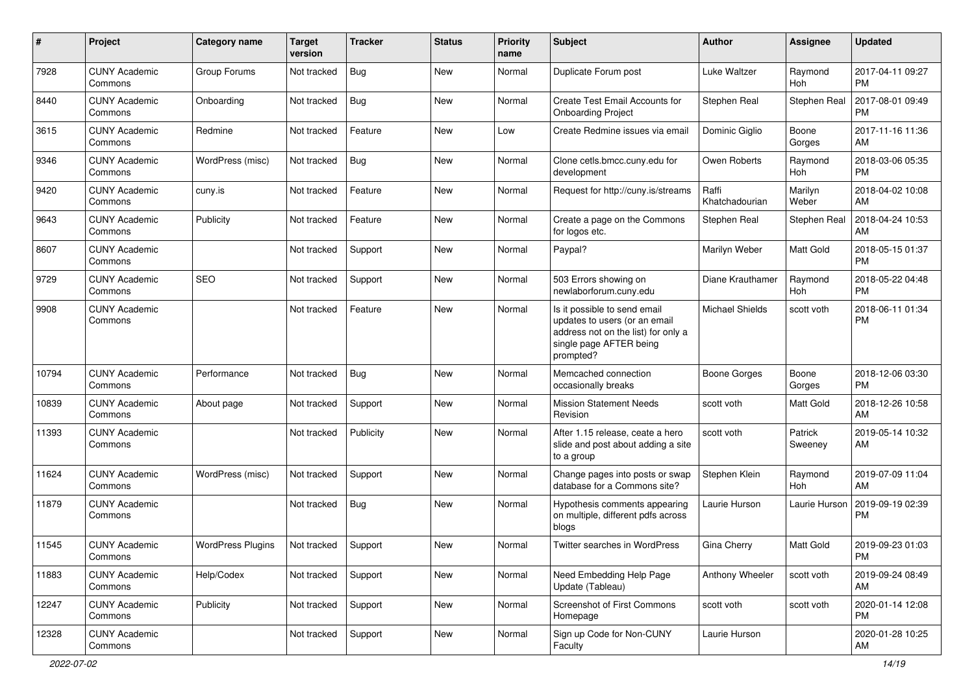| $\#$  | Project                         | Category name            | <b>Target</b><br>version | Tracker   | <b>Status</b> | <b>Priority</b><br>name | Subject                                                                                                                                      | Author                  | <b>Assignee</b>    | <b>Updated</b>                |
|-------|---------------------------------|--------------------------|--------------------------|-----------|---------------|-------------------------|----------------------------------------------------------------------------------------------------------------------------------------------|-------------------------|--------------------|-------------------------------|
| 7928  | <b>CUNY Academic</b><br>Commons | Group Forums             | Not tracked              | Bug       | <b>New</b>    | Normal                  | Duplicate Forum post                                                                                                                         | Luke Waltzer            | Raymond<br>Hoh     | 2017-04-11 09:27<br><b>PM</b> |
| 8440  | <b>CUNY Academic</b><br>Commons | Onboarding               | Not tracked              | Bug       | New           | Normal                  | Create Test Email Accounts for<br><b>Onboarding Project</b>                                                                                  | Stephen Real            | Stephen Real       | 2017-08-01 09:49<br><b>PM</b> |
| 3615  | <b>CUNY Academic</b><br>Commons | Redmine                  | Not tracked              | Feature   | <b>New</b>    | Low                     | Create Redmine issues via email                                                                                                              | Dominic Giglio          | Boone<br>Gorges    | 2017-11-16 11:36<br>AM        |
| 9346  | <b>CUNY Academic</b><br>Commons | WordPress (misc)         | Not tracked              | Bug       | <b>New</b>    | Normal                  | Clone cetls.bmcc.cuny.edu for<br>development                                                                                                 | Owen Roberts            | Raymond<br>Hoh     | 2018-03-06 05:35<br><b>PM</b> |
| 9420  | <b>CUNY Academic</b><br>Commons | cuny.is                  | Not tracked              | Feature   | <b>New</b>    | Normal                  | Request for http://cuny.is/streams                                                                                                           | Raffi<br>Khatchadourian | Marilyn<br>Weber   | 2018-04-02 10:08<br>AM        |
| 9643  | <b>CUNY Academic</b><br>Commons | Publicity                | Not tracked              | Feature   | <b>New</b>    | Normal                  | Create a page on the Commons<br>for logos etc.                                                                                               | Stephen Real            | Stephen Real       | 2018-04-24 10:53<br>AM        |
| 8607  | <b>CUNY Academic</b><br>Commons |                          | Not tracked              | Support   | <b>New</b>    | Normal                  | Paypal?                                                                                                                                      | Marilyn Weber           | Matt Gold          | 2018-05-15 01:37<br><b>PM</b> |
| 9729  | <b>CUNY Academic</b><br>Commons | <b>SEO</b>               | Not tracked              | Support   | New           | Normal                  | 503 Errors showing on<br>newlaborforum.cuny.edu                                                                                              | Diane Krauthamer        | Raymond<br>Hoh     | 2018-05-22 04:48<br><b>PM</b> |
| 9908  | <b>CUNY Academic</b><br>Commons |                          | Not tracked              | Feature   | New           | Normal                  | Is it possible to send email<br>updates to users (or an email<br>address not on the list) for only a<br>single page AFTER being<br>prompted? | Michael Shields         | scott voth         | 2018-06-11 01:34<br><b>PM</b> |
| 10794 | <b>CUNY Academic</b><br>Commons | Performance              | Not tracked              | Bug       | <b>New</b>    | Normal                  | Memcached connection<br>occasionally breaks                                                                                                  | Boone Gorges            | Boone<br>Gorges    | 2018-12-06 03:30<br><b>PM</b> |
| 10839 | <b>CUNY Academic</b><br>Commons | About page               | Not tracked              | Support   | <b>New</b>    | Normal                  | <b>Mission Statement Needs</b><br>Revision                                                                                                   | scott voth              | Matt Gold          | 2018-12-26 10:58<br>AM        |
| 11393 | <b>CUNY Academic</b><br>Commons |                          | Not tracked              | Publicity | <b>New</b>    | Normal                  | After 1.15 release, ceate a hero<br>slide and post about adding a site<br>to a group                                                         | scott voth              | Patrick<br>Sweeney | 2019-05-14 10:32<br>AM        |
| 11624 | <b>CUNY Academic</b><br>Commons | WordPress (misc)         | Not tracked              | Support   | <b>New</b>    | Normal                  | Change pages into posts or swap<br>database for a Commons site?                                                                              | Stephen Klein           | Raymond<br>Hoh     | 2019-07-09 11:04<br>AM        |
| 11879 | <b>CUNY Academic</b><br>Commons |                          | Not tracked              | Bug       | New           | Normal                  | Hypothesis comments appearing<br>on multiple, different pdfs across<br>blogs                                                                 | Laurie Hurson           | Laurie Hurson      | 2019-09-19 02:39<br><b>PM</b> |
| 11545 | <b>CUNY Academic</b><br>Commons | <b>WordPress Plugins</b> | Not tracked              | Support   | New           | Normal                  | <b>Twitter searches in WordPress</b>                                                                                                         | Gina Cherry             | Matt Gold          | 2019-09-23 01:03<br>PM        |
| 11883 | <b>CUNY Academic</b><br>Commons | Help/Codex               | Not tracked              | Support   | New           | Normal                  | Need Embedding Help Page<br>Update (Tableau)                                                                                                 | Anthony Wheeler         | scott voth         | 2019-09-24 08:49<br>AM        |
| 12247 | <b>CUNY Academic</b><br>Commons | Publicity                | Not tracked              | Support   | New           | Normal                  | Screenshot of First Commons<br>Homepage                                                                                                      | scott voth              | scott voth         | 2020-01-14 12:08<br><b>PM</b> |
| 12328 | <b>CUNY Academic</b><br>Commons |                          | Not tracked              | Support   | New           | Normal                  | Sign up Code for Non-CUNY<br>Faculty                                                                                                         | Laurie Hurson           |                    | 2020-01-28 10:25<br>AM        |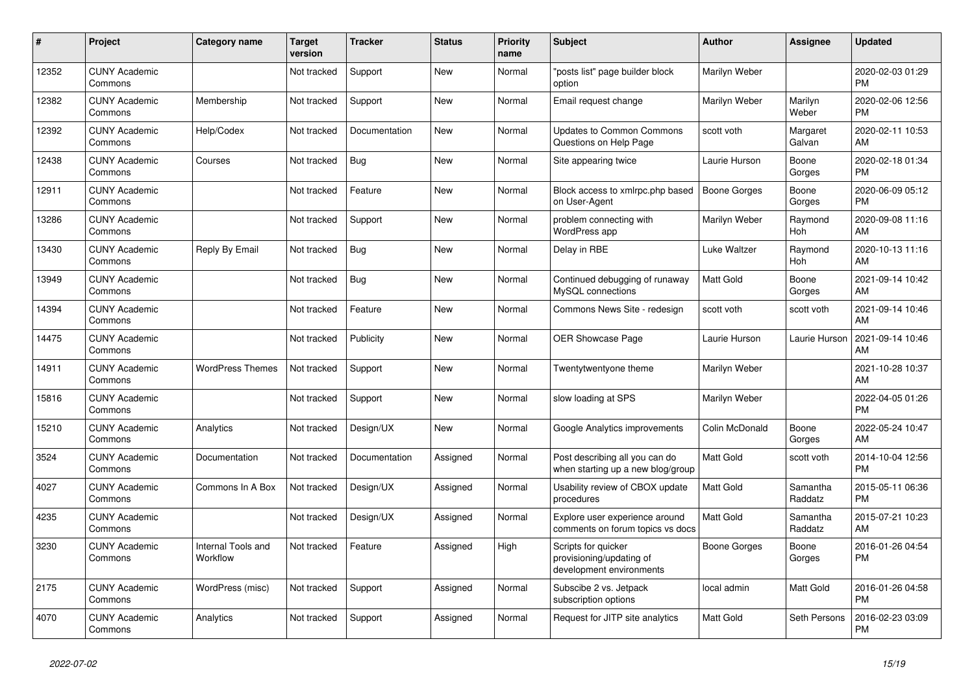| #     | Project                         | <b>Category name</b>           | <b>Target</b><br>version | <b>Tracker</b> | <b>Status</b> | <b>Priority</b><br>name | <b>Subject</b>                                                              | <b>Author</b>       | <b>Assignee</b>     | <b>Updated</b>                |
|-------|---------------------------------|--------------------------------|--------------------------|----------------|---------------|-------------------------|-----------------------------------------------------------------------------|---------------------|---------------------|-------------------------------|
| 12352 | <b>CUNY Academic</b><br>Commons |                                | Not tracked              | Support        | New           | Normal                  | "posts list" page builder block<br>option                                   | Marilyn Weber       |                     | 2020-02-03 01:29<br><b>PM</b> |
| 12382 | <b>CUNY Academic</b><br>Commons | Membership                     | Not tracked              | Support        | New           | Normal                  | Email request change                                                        | Marilyn Weber       | Marilyn<br>Weber    | 2020-02-06 12:56<br><b>PM</b> |
| 12392 | <b>CUNY Academic</b><br>Commons | Help/Codex                     | Not tracked              | Documentation  | New           | Normal                  | <b>Updates to Common Commons</b><br>Questions on Help Page                  | scott voth          | Margaret<br>Galvan  | 2020-02-11 10:53<br>AM        |
| 12438 | <b>CUNY Academic</b><br>Commons | Courses                        | Not tracked              | Bug            | <b>New</b>    | Normal                  | Site appearing twice                                                        | Laurie Hurson       | Boone<br>Gorges     | 2020-02-18 01:34<br><b>PM</b> |
| 12911 | <b>CUNY Academic</b><br>Commons |                                | Not tracked              | Feature        | New           | Normal                  | Block access to xmlrpc.php based<br>on User-Agent                           | <b>Boone Gorges</b> | Boone<br>Gorges     | 2020-06-09 05:12<br><b>PM</b> |
| 13286 | <b>CUNY Academic</b><br>Commons |                                | Not tracked              | Support        | New           | Normal                  | problem connecting with<br>WordPress app                                    | Marilyn Weber       | Raymond<br>Hoh      | 2020-09-08 11:16<br>AM        |
| 13430 | <b>CUNY Academic</b><br>Commons | Reply By Email                 | Not tracked              | Bug            | <b>New</b>    | Normal                  | Delay in RBE                                                                | Luke Waltzer        | Raymond<br>Hoh      | 2020-10-13 11:16<br>AM        |
| 13949 | <b>CUNY Academic</b><br>Commons |                                | Not tracked              | Bug            | New           | Normal                  | Continued debugging of runaway<br>MySQL connections                         | <b>Matt Gold</b>    | Boone<br>Gorges     | 2021-09-14 10:42<br>AM        |
| 14394 | <b>CUNY Academic</b><br>Commons |                                | Not tracked              | Feature        | <b>New</b>    | Normal                  | Commons News Site - redesign                                                | scott voth          | scott voth          | 2021-09-14 10:46<br>AM        |
| 14475 | <b>CUNY Academic</b><br>Commons |                                | Not tracked              | Publicity      | <b>New</b>    | Normal                  | <b>OER Showcase Page</b>                                                    | Laurie Hurson       | Laurie Hurson       | 2021-09-14 10:46<br>AM        |
| 14911 | <b>CUNY Academic</b><br>Commons | <b>WordPress Themes</b>        | Not tracked              | Support        | New           | Normal                  | Twentytwentyone theme                                                       | Marilyn Weber       |                     | 2021-10-28 10:37<br>AM        |
| 15816 | <b>CUNY Academic</b><br>Commons |                                | Not tracked              | Support        | New           | Normal                  | slow loading at SPS                                                         | Marilyn Weber       |                     | 2022-04-05 01:26<br><b>PM</b> |
| 15210 | <b>CUNY Academic</b><br>Commons | Analytics                      | Not tracked              | Design/UX      | <b>New</b>    | Normal                  | Google Analytics improvements                                               | Colin McDonald      | Boone<br>Gorges     | 2022-05-24 10:47<br>AM        |
| 3524  | <b>CUNY Academic</b><br>Commons | Documentation                  | Not tracked              | Documentation  | Assigned      | Normal                  | Post describing all you can do<br>when starting up a new blog/group         | <b>Matt Gold</b>    | scott voth          | 2014-10-04 12:56<br><b>PM</b> |
| 4027  | <b>CUNY Academic</b><br>Commons | Commons In A Box               | Not tracked              | Design/UX      | Assigned      | Normal                  | Usability review of CBOX update<br>procedures                               | <b>Matt Gold</b>    | Samantha<br>Raddatz | 2015-05-11 06:36<br><b>PM</b> |
| 4235  | <b>CUNY Academic</b><br>Commons |                                | Not tracked              | Design/UX      | Assigned      | Normal                  | Explore user experience around<br>comments on forum topics vs docs          | <b>Matt Gold</b>    | Samantha<br>Raddatz | 2015-07-21 10:23<br>AM        |
| 3230  | <b>CUNY Academic</b><br>Commons | Internal Tools and<br>Workflow | Not tracked              | Feature        | Assigned      | High                    | Scripts for quicker<br>provisioning/updating of<br>development environments | Boone Gorges        | Boone<br>Gorges     | 2016-01-26 04:54<br><b>PM</b> |
| 2175  | <b>CUNY Academic</b><br>Commons | WordPress (misc)               | Not tracked              | Support        | Assigned      | Normal                  | Subscibe 2 vs. Jetpack<br>subscription options                              | local admin         | Matt Gold           | 2016-01-26 04:58<br><b>PM</b> |
| 4070  | <b>CUNY Academic</b><br>Commons | Analytics                      | Not tracked              | Support        | Assigned      | Normal                  | Request for JITP site analytics                                             | <b>Matt Gold</b>    | Seth Persons        | 2016-02-23 03:09<br><b>PM</b> |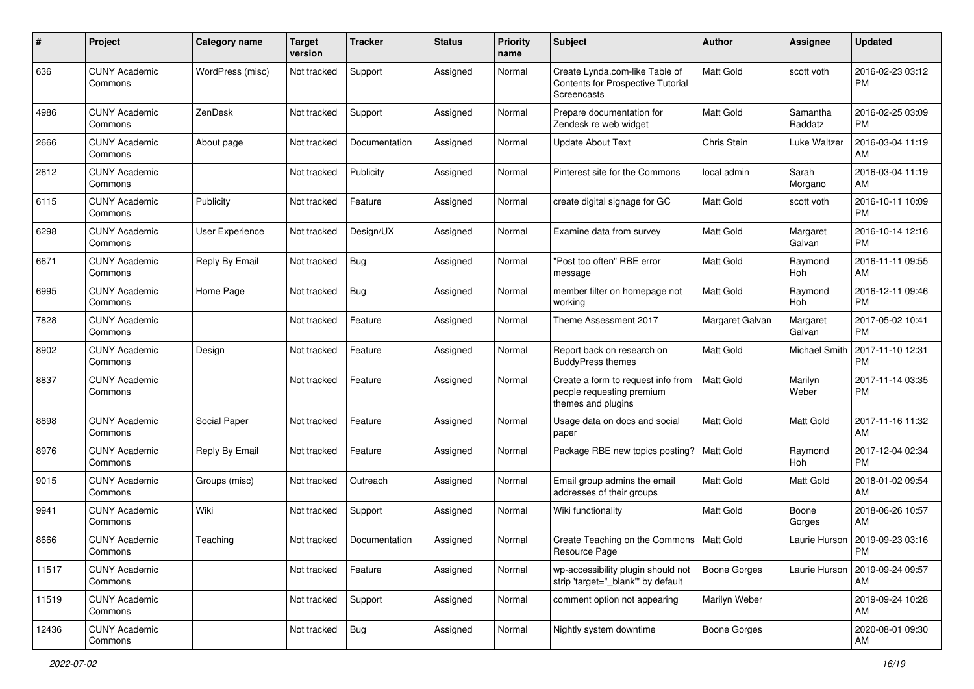| #     | Project                         | <b>Category name</b> | <b>Target</b><br>version | <b>Tracker</b> | <b>Status</b> | <b>Priority</b><br>name | <b>Subject</b>                                                                        | Author           | <b>Assignee</b>      | <b>Updated</b>                |
|-------|---------------------------------|----------------------|--------------------------|----------------|---------------|-------------------------|---------------------------------------------------------------------------------------|------------------|----------------------|-------------------------------|
| 636   | <b>CUNY Academic</b><br>Commons | WordPress (misc)     | Not tracked              | Support        | Assigned      | Normal                  | Create Lynda.com-like Table of<br>Contents for Prospective Tutorial<br>Screencasts    | <b>Matt Gold</b> | scott voth           | 2016-02-23 03:12<br><b>PM</b> |
| 4986  | <b>CUNY Academic</b><br>Commons | ZenDesk              | Not tracked              | Support        | Assigned      | Normal                  | Prepare documentation for<br>Zendesk re web widget                                    | <b>Matt Gold</b> | Samantha<br>Raddatz  | 2016-02-25 03:09<br><b>PM</b> |
| 2666  | <b>CUNY Academic</b><br>Commons | About page           | Not tracked              | Documentation  | Assigned      | Normal                  | <b>Update About Text</b>                                                              | Chris Stein      | Luke Waltzer         | 2016-03-04 11:19<br>AM        |
| 2612  | <b>CUNY Academic</b><br>Commons |                      | Not tracked              | Publicity      | Assigned      | Normal                  | Pinterest site for the Commons                                                        | local admin      | Sarah<br>Morgano     | 2016-03-04 11:19<br>AM        |
| 6115  | <b>CUNY Academic</b><br>Commons | Publicity            | Not tracked              | Feature        | Assigned      | Normal                  | create digital signage for GC                                                         | Matt Gold        | scott voth           | 2016-10-11 10:09<br><b>PM</b> |
| 6298  | <b>CUNY Academic</b><br>Commons | User Experience      | Not tracked              | Design/UX      | Assigned      | Normal                  | Examine data from survey                                                              | <b>Matt Gold</b> | Margaret<br>Galvan   | 2016-10-14 12:16<br><b>PM</b> |
| 6671  | <b>CUNY Academic</b><br>Commons | Reply By Email       | Not tracked              | Bug            | Assigned      | Normal                  | "Post too often" RBE error<br>message                                                 | <b>Matt Gold</b> | Raymond<br>Hoh       | 2016-11-11 09:55<br>AM        |
| 6995  | <b>CUNY Academic</b><br>Commons | Home Page            | Not tracked              | Bug            | Assigned      | Normal                  | member filter on homepage not<br>working                                              | <b>Matt Gold</b> | Raymond<br>Hoh       | 2016-12-11 09:46<br><b>PM</b> |
| 7828  | <b>CUNY Academic</b><br>Commons |                      | Not tracked              | Feature        | Assigned      | Normal                  | Theme Assessment 2017                                                                 | Margaret Galvan  | Margaret<br>Galvan   | 2017-05-02 10:41<br><b>PM</b> |
| 8902  | <b>CUNY Academic</b><br>Commons | Design               | Not tracked              | Feature        | Assigned      | Normal                  | Report back on research on<br><b>BuddyPress themes</b>                                | Matt Gold        | <b>Michael Smith</b> | 2017-11-10 12:31<br><b>PM</b> |
| 8837  | <b>CUNY Academic</b><br>Commons |                      | Not tracked              | Feature        | Assigned      | Normal                  | Create a form to request info from<br>people requesting premium<br>themes and plugins | Matt Gold        | Marilyn<br>Weber     | 2017-11-14 03:35<br><b>PM</b> |
| 8898  | <b>CUNY Academic</b><br>Commons | Social Paper         | Not tracked              | Feature        | Assigned      | Normal                  | Usage data on docs and social<br>paper                                                | <b>Matt Gold</b> | Matt Gold            | 2017-11-16 11:32<br>AM        |
| 8976  | <b>CUNY Academic</b><br>Commons | Reply By Email       | Not tracked              | Feature        | Assigned      | Normal                  | Package RBE new topics posting?                                                       | Matt Gold        | Raymond<br>Hoh       | 2017-12-04 02:34<br><b>PM</b> |
| 9015  | <b>CUNY Academic</b><br>Commons | Groups (misc)        | Not tracked              | Outreach       | Assigned      | Normal                  | Email group admins the email<br>addresses of their groups                             | Matt Gold        | Matt Gold            | 2018-01-02 09:54<br>AM        |
| 9941  | <b>CUNY Academic</b><br>Commons | Wiki                 | Not tracked              | Support        | Assigned      | Normal                  | Wiki functionality                                                                    | <b>Matt Gold</b> | Boone<br>Gorges      | 2018-06-26 10:57<br>AM        |
| 8666  | <b>CUNY Academic</b><br>Commons | Teaching             | Not tracked              | Documentation  | Assigned      | Normal                  | Create Teaching on the Commons   Matt Gold<br>Resource Page                           |                  | Laurie Hurson        | 2019-09-23 03:16<br>PM        |
| 11517 | <b>CUNY Academic</b><br>Commons |                      | Not tracked              | Feature        | Assigned      | Normal                  | wp-accessibility plugin should not<br>strip 'target="_blank" by default               | Boone Gorges     | Laurie Hurson        | 2019-09-24 09:57<br>AM        |
| 11519 | <b>CUNY Academic</b><br>Commons |                      | Not tracked              | Support        | Assigned      | Normal                  | comment option not appearing                                                          | Marilyn Weber    |                      | 2019-09-24 10:28<br>AM        |
| 12436 | <b>CUNY Academic</b><br>Commons |                      | Not tracked              | Bug            | Assigned      | Normal                  | Nightly system downtime                                                               | Boone Gorges     |                      | 2020-08-01 09:30<br>AM        |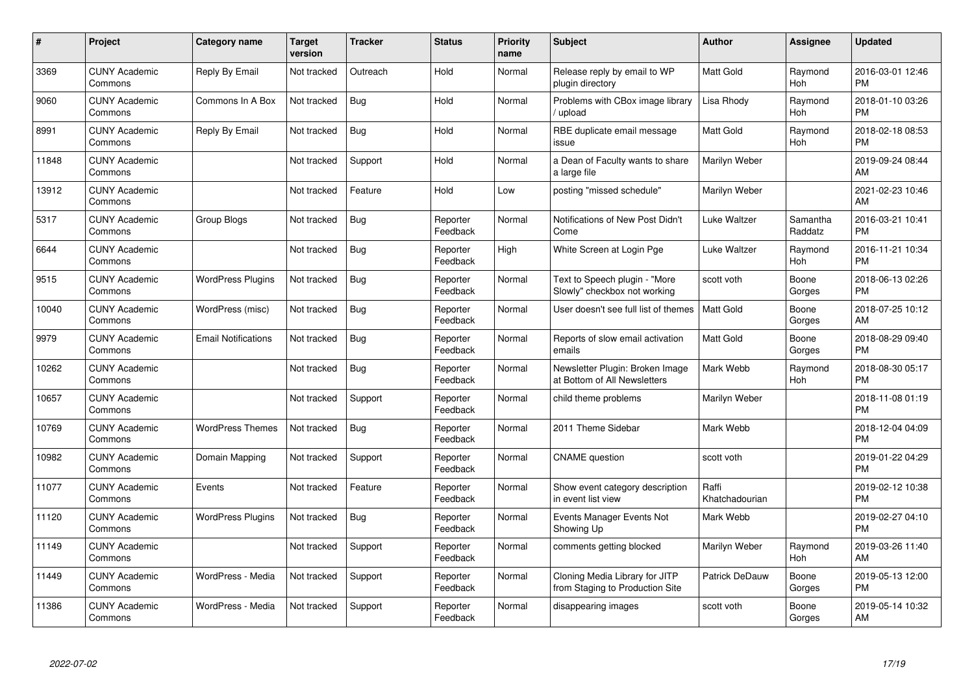| #     | <b>Project</b>                  | Category name              | <b>Target</b><br>version | <b>Tracker</b> | <b>Status</b>        | <b>Priority</b><br>name | <b>Subject</b>                                                    | <b>Author</b>           | Assignee            | <b>Updated</b>                |
|-------|---------------------------------|----------------------------|--------------------------|----------------|----------------------|-------------------------|-------------------------------------------------------------------|-------------------------|---------------------|-------------------------------|
| 3369  | <b>CUNY Academic</b><br>Commons | Reply By Email             | Not tracked              | Outreach       | Hold                 | Normal                  | Release reply by email to WP<br>plugin directory                  | <b>Matt Gold</b>        | Raymond<br>Hoh      | 2016-03-01 12:46<br><b>PM</b> |
| 9060  | <b>CUNY Academic</b><br>Commons | Commons In A Box           | Not tracked              | <b>Bug</b>     | Hold                 | Normal                  | Problems with CBox image library<br>/ upload                      | Lisa Rhody              | Raymond<br>Hoh      | 2018-01-10 03:26<br><b>PM</b> |
| 8991  | <b>CUNY Academic</b><br>Commons | Reply By Email             | Not tracked              | Bug            | Hold                 | Normal                  | RBE duplicate email message<br>issue                              | <b>Matt Gold</b>        | Raymond<br>Hoh      | 2018-02-18 08:53<br><b>PM</b> |
| 11848 | <b>CUNY Academic</b><br>Commons |                            | Not tracked              | Support        | Hold                 | Normal                  | a Dean of Faculty wants to share<br>a large file                  | Marilyn Weber           |                     | 2019-09-24 08:44<br>AM        |
| 13912 | <b>CUNY Academic</b><br>Commons |                            | Not tracked              | Feature        | Hold                 | Low                     | posting "missed schedule"                                         | Marilyn Weber           |                     | 2021-02-23 10:46<br>AM        |
| 5317  | <b>CUNY Academic</b><br>Commons | <b>Group Blogs</b>         | Not tracked              | <b>Bug</b>     | Reporter<br>Feedback | Normal                  | Notifications of New Post Didn't<br>Come                          | Luke Waltzer            | Samantha<br>Raddatz | 2016-03-21 10:41<br><b>PM</b> |
| 6644  | <b>CUNY Academic</b><br>Commons |                            | Not tracked              | Bug            | Reporter<br>Feedback | High                    | White Screen at Login Pge                                         | Luke Waltzer            | Raymond<br>Hoh      | 2016-11-21 10:34<br><b>PM</b> |
| 9515  | <b>CUNY Academic</b><br>Commons | <b>WordPress Plugins</b>   | Not tracked              | Bug            | Reporter<br>Feedback | Normal                  | Text to Speech plugin - "More<br>Slowly" checkbox not working     | scott voth              | Boone<br>Gorges     | 2018-06-13 02:26<br><b>PM</b> |
| 10040 | <b>CUNY Academic</b><br>Commons | WordPress (misc)           | Not tracked              | Bug            | Reporter<br>Feedback | Normal                  | User doesn't see full list of themes                              | Matt Gold               | Boone<br>Gorges     | 2018-07-25 10:12<br>AM        |
| 9979  | <b>CUNY Academic</b><br>Commons | <b>Email Notifications</b> | Not tracked              | <b>Bug</b>     | Reporter<br>Feedback | Normal                  | Reports of slow email activation<br>emails                        | <b>Matt Gold</b>        | Boone<br>Gorges     | 2018-08-29 09:40<br><b>PM</b> |
| 10262 | <b>CUNY Academic</b><br>Commons |                            | Not tracked              | Bug            | Reporter<br>Feedback | Normal                  | Newsletter Plugin: Broken Image<br>at Bottom of All Newsletters   | Mark Webb               | Raymond<br>Hoh      | 2018-08-30 05:17<br><b>PM</b> |
| 10657 | <b>CUNY Academic</b><br>Commons |                            | Not tracked              | Support        | Reporter<br>Feedback | Normal                  | child theme problems                                              | Marilyn Weber           |                     | 2018-11-08 01:19<br><b>PM</b> |
| 10769 | <b>CUNY Academic</b><br>Commons | <b>WordPress Themes</b>    | Not tracked              | <b>Bug</b>     | Reporter<br>Feedback | Normal                  | 2011 Theme Sidebar                                                | Mark Webb               |                     | 2018-12-04 04:09<br><b>PM</b> |
| 10982 | <b>CUNY Academic</b><br>Commons | Domain Mapping             | Not tracked              | Support        | Reporter<br>Feedback | Normal                  | <b>CNAME</b> question                                             | scott voth              |                     | 2019-01-22 04:29<br><b>PM</b> |
| 11077 | <b>CUNY Academic</b><br>Commons | Events                     | Not tracked              | Feature        | Reporter<br>Feedback | Normal                  | Show event category description<br>in event list view             | Raffi<br>Khatchadourian |                     | 2019-02-12 10:38<br><b>PM</b> |
| 11120 | <b>CUNY Academic</b><br>Commons | <b>WordPress Plugins</b>   | Not tracked              | Bug            | Reporter<br>Feedback | Normal                  | Events Manager Events Not<br>Showing Up                           | Mark Webb               |                     | 2019-02-27 04:10<br><b>PM</b> |
| 11149 | <b>CUNY Academic</b><br>Commons |                            | Not tracked              | Support        | Reporter<br>Feedback | Normal                  | comments getting blocked                                          | Marilyn Weber           | Raymond<br>Hoh      | 2019-03-26 11:40<br>AM        |
| 11449 | <b>CUNY Academic</b><br>Commons | WordPress - Media          | Not tracked              | Support        | Reporter<br>Feedback | Normal                  | Cloning Media Library for JITP<br>from Staging to Production Site | Patrick DeDauw          | Boone<br>Gorges     | 2019-05-13 12:00<br><b>PM</b> |
| 11386 | <b>CUNY Academic</b><br>Commons | WordPress - Media          | Not tracked              | Support        | Reporter<br>Feedback | Normal                  | disappearing images                                               | scott voth              | Boone<br>Gorges     | 2019-05-14 10:32<br>AM        |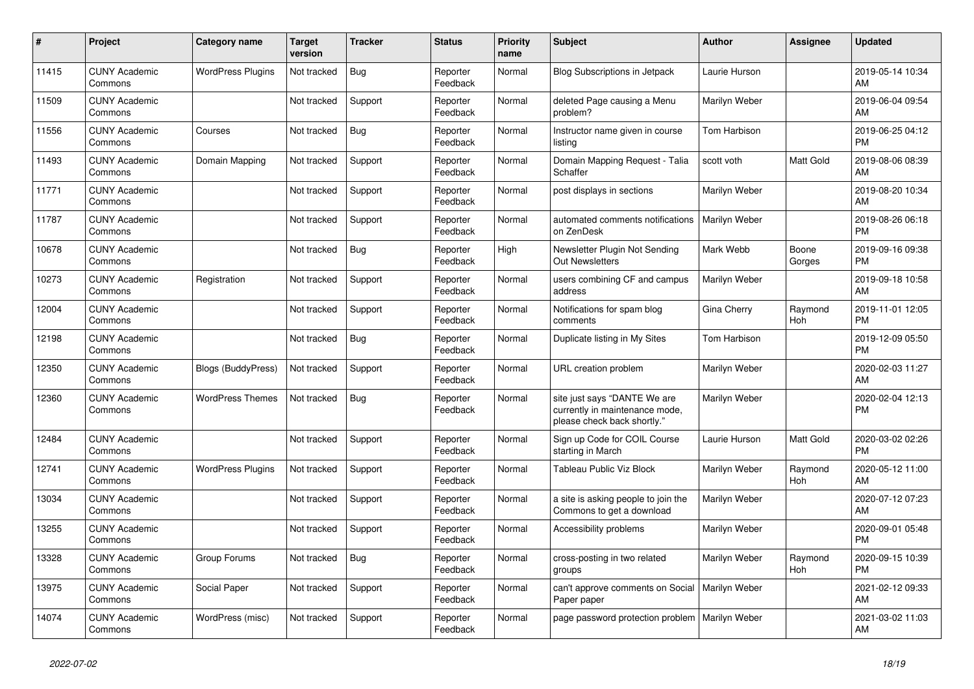| #     | Project                         | <b>Category name</b>      | <b>Target</b><br>version | <b>Tracker</b> | <b>Status</b>        | <b>Priority</b><br>name | <b>Subject</b>                                                                                | <b>Author</b> | <b>Assignee</b> | <b>Updated</b>                |
|-------|---------------------------------|---------------------------|--------------------------|----------------|----------------------|-------------------------|-----------------------------------------------------------------------------------------------|---------------|-----------------|-------------------------------|
| 11415 | <b>CUNY Academic</b><br>Commons | <b>WordPress Plugins</b>  | Not tracked              | <b>Bug</b>     | Reporter<br>Feedback | Normal                  | <b>Blog Subscriptions in Jetpack</b>                                                          | Laurie Hurson |                 | 2019-05-14 10:34<br>AM        |
| 11509 | <b>CUNY Academic</b><br>Commons |                           | Not tracked              | Support        | Reporter<br>Feedback | Normal                  | deleted Page causing a Menu<br>problem?                                                       | Marilyn Weber |                 | 2019-06-04 09:54<br>AM        |
| 11556 | <b>CUNY Academic</b><br>Commons | Courses                   | Not tracked              | Bug            | Reporter<br>Feedback | Normal                  | Instructor name given in course<br>listing                                                    | Tom Harbison  |                 | 2019-06-25 04:12<br><b>PM</b> |
| 11493 | <b>CUNY Academic</b><br>Commons | Domain Mapping            | Not tracked              | Support        | Reporter<br>Feedback | Normal                  | Domain Mapping Request - Talia<br>Schaffer                                                    | scott voth    | Matt Gold       | 2019-08-06 08:39<br>AM        |
| 11771 | <b>CUNY Academic</b><br>Commons |                           | Not tracked              | Support        | Reporter<br>Feedback | Normal                  | post displays in sections                                                                     | Marilyn Weber |                 | 2019-08-20 10:34<br>AM        |
| 11787 | <b>CUNY Academic</b><br>Commons |                           | Not tracked              | Support        | Reporter<br>Feedback | Normal                  | automated comments notifications<br>on ZenDesk                                                | Marilyn Weber |                 | 2019-08-26 06:18<br><b>PM</b> |
| 10678 | <b>CUNY Academic</b><br>Commons |                           | Not tracked              | <b>Bug</b>     | Reporter<br>Feedback | High                    | Newsletter Plugin Not Sending<br><b>Out Newsletters</b>                                       | Mark Webb     | Boone<br>Gorges | 2019-09-16 09:38<br><b>PM</b> |
| 10273 | <b>CUNY Academic</b><br>Commons | Registration              | Not tracked              | Support        | Reporter<br>Feedback | Normal                  | users combining CF and campus<br>address                                                      | Marilyn Weber |                 | 2019-09-18 10:58<br>AM        |
| 12004 | <b>CUNY Academic</b><br>Commons |                           | Not tracked              | Support        | Reporter<br>Feedback | Normal                  | Notifications for spam blog<br>comments                                                       | Gina Cherry   | Raymond<br>Hoh  | 2019-11-01 12:05<br><b>PM</b> |
| 12198 | <b>CUNY Academic</b><br>Commons |                           | Not tracked              | Bug            | Reporter<br>Feedback | Normal                  | Duplicate listing in My Sites                                                                 | Tom Harbison  |                 | 2019-12-09 05:50<br><b>PM</b> |
| 12350 | <b>CUNY Academic</b><br>Commons | <b>Blogs (BuddyPress)</b> | Not tracked              | Support        | Reporter<br>Feedback | Normal                  | URL creation problem                                                                          | Marilyn Weber |                 | 2020-02-03 11:27<br>AM        |
| 12360 | <b>CUNY Academic</b><br>Commons | <b>WordPress Themes</b>   | Not tracked              | <b>Bug</b>     | Reporter<br>Feedback | Normal                  | site just says "DANTE We are<br>currently in maintenance mode,<br>please check back shortly." | Marilyn Weber |                 | 2020-02-04 12:13<br><b>PM</b> |
| 12484 | <b>CUNY Academic</b><br>Commons |                           | Not tracked              | Support        | Reporter<br>Feedback | Normal                  | Sign up Code for COIL Course<br>starting in March                                             | Laurie Hurson | Matt Gold       | 2020-03-02 02:26<br><b>PM</b> |
| 12741 | <b>CUNY Academic</b><br>Commons | <b>WordPress Plugins</b>  | Not tracked              | Support        | Reporter<br>Feedback | Normal                  | Tableau Public Viz Block                                                                      | Marilyn Weber | Raymond<br>Hoh  | 2020-05-12 11:00<br>AM        |
| 13034 | <b>CUNY Academic</b><br>Commons |                           | Not tracked              | Support        | Reporter<br>Feedback | Normal                  | a site is asking people to join the<br>Commons to get a download                              | Marilyn Weber |                 | 2020-07-12 07:23<br>AM        |
| 13255 | <b>CUNY Academic</b><br>Commons |                           | Not tracked              | Support        | Reporter<br>Feedback | Normal                  | Accessibility problems                                                                        | Marilyn Weber |                 | 2020-09-01 05:48<br><b>PM</b> |
| 13328 | <b>CUNY Academic</b><br>Commons | Group Forums              | Not tracked              | Bug            | Reporter<br>Feedback | Normal                  | cross-posting in two related<br>groups                                                        | Marilyn Weber | Raymond<br>Hoh  | 2020-09-15 10:39<br><b>PM</b> |
| 13975 | <b>CUNY Academic</b><br>Commons | Social Paper              | Not tracked              | Support        | Reporter<br>Feedback | Normal                  | can't approve comments on Social<br>Paper paper                                               | Marilyn Weber |                 | 2021-02-12 09:33<br>AM        |
| 14074 | <b>CUNY Academic</b><br>Commons | WordPress (misc)          | Not tracked              | Support        | Reporter<br>Feedback | Normal                  | page password protection problem                                                              | Marilyn Weber |                 | 2021-03-02 11:03<br>AM        |